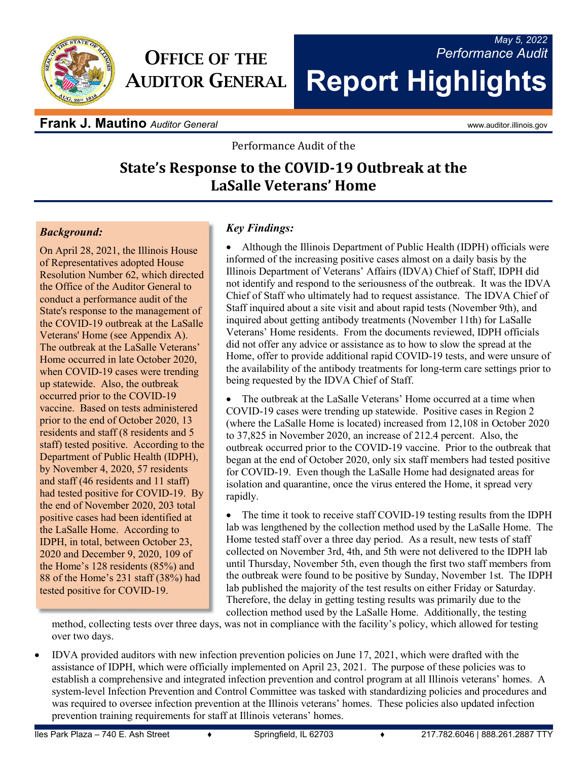

# **OFFICE OF THE AUDITOR GENERAL**

# *May 5, 2022 Performance Audit* **Report Highlights**

**Frank J. Mautino** *Auditor General* and *Auditor Ceneral* www.auditor.illinois.gov

Performance Audit of the

## **State's Response to the COVID-19 Outbreak at the LaSalle Veterans' Home**

## *Background:*

On April 28, 2021, the Illinois House of Representatives adopted House Resolution Number 62, which directed the Office of the Auditor General to conduct a performance audit of the State's response to the management of the COVID-19 outbreak at the LaSalle Veterans' Home (see Appendix A). The outbreak at the LaSalle Veterans' Home occurred in late October 2020, when COVID-19 cases were trending up statewide. Also, the outbreak occurred prior to the COVID-19 vaccine. Based on tests administered prior to the end of October 2020, 13 residents and staff (8 residents and 5 staff) tested positive. According to the Department of Public Health (IDPH), by November 4, 2020, 57 residents and staff (46 residents and 11 staff) had tested positive for COVID-19. By the end of November 2020, 203 total positive cases had been identified at the LaSalle Home. According to IDPH, in total, between October 23, 2020 and December 9, 2020, 109 of the Home's 128 residents (85%) and 88 of the Home's 231 staff (38%) had tested positive for COVID-19.

## *Key Findings:*

 Although the Illinois Department of Public Health (IDPH) officials were informed of the increasing positive cases almost on a daily basis by the Illinois Department of Veterans' Affairs (IDVA) Chief of Staff, IDPH did not identify and respond to the seriousness of the outbreak. It was the IDVA Chief of Staff who ultimately had to request assistance. The IDVA Chief of Staff inquired about a site visit and about rapid tests (November 9th), and inquired about getting antibody treatments (November 11th) for LaSalle Veterans' Home residents. From the documents reviewed, IDPH officials did not offer any advice or assistance as to how to slow the spread at the Home, offer to provide additional rapid COVID-19 tests, and were unsure of the availability of the antibody treatments for long-term care settings prior to being requested by the IDVA Chief of Staff.

 The outbreak at the LaSalle Veterans' Home occurred at a time when COVID-19 cases were trending up statewide. Positive cases in Region 2 (where the LaSalle Home is located) increased from 12,108 in October 2020 to 37,825 in November 2020, an increase of 212.4 percent. Also, the outbreak occurred prior to the COVID-19 vaccine. Prior to the outbreak that began at the end of October 2020, only six staff members had tested positive for COVID-19. Even though the LaSalle Home had designated areas for isolation and quarantine, once the virus entered the Home, it spread very rapidly.

• The time it took to receive staff COVID-19 testing results from the IDPH lab was lengthened by the collection method used by the LaSalle Home. The Home tested staff over a three day period. As a result, new tests of staff collected on November 3rd, 4th, and 5th were not delivered to the IDPH lab until Thursday, November 5th, even though the first two staff members from the outbreak were found to be positive by Sunday, November 1st. The IDPH lab published the majority of the test results on either Friday or Saturday. Therefore, the delay in getting testing results was primarily due to the collection method used by the LaSalle Home. Additionally, the testing

method, collecting tests over three days, was not in compliance with the facility's policy, which allowed for testing over two days.

 IDVA provided auditors with new infection prevention policies on June 17, 2021, which were drafted with the assistance of IDPH, which were officially implemented on April 23, 2021. The purpose of these policies was to establish a comprehensive and integrated infection prevention and control program at all Illinois veterans' homes. A system-level Infection Prevention and Control Committee was tasked with standardizing policies and procedures and was required to oversee infection prevention at the Illinois veterans' homes. These policies also updated infection prevention training requirements for staff at Illinois veterans' homes.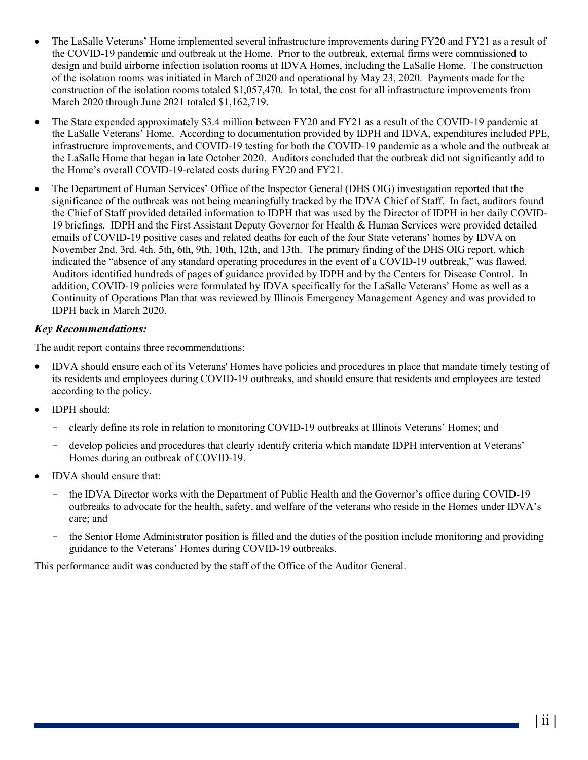- The LaSalle Veterans' Home implemented several infrastructure improvements during FY20 and FY21 as a result of the COVID-19 pandemic and outbreak at the Home. Prior to the outbreak, external firms were commissioned to design and build airborne infection isolation rooms at IDVA Homes, including the LaSalle Home. The construction of the isolation rooms was initiated in March of 2020 and operational by May 23, 2020. Payments made for the construction of the isolation rooms totaled \$1,057,470. In total, the cost for all infrastructure improvements from March 2020 through June 2021 totaled \$1,162,719.
- The State expended approximately \$3.4 million between FY20 and FY21 as a result of the COVID-19 pandemic at the LaSalle Veterans' Home. According to documentation provided by IDPH and IDVA, expenditures included PPE, infrastructure improvements, and COVID-19 testing for both the COVID-19 pandemic as a whole and the outbreak at the LaSalle Home that began in late October 2020. Auditors concluded that the outbreak did not significantly add to the Home's overall COVID-19-related costs during FY20 and FY21.
- The Department of Human Services' Office of the Inspector General (DHS OIG) investigation reported that the significance of the outbreak was not being meaningfully tracked by the IDVA Chief of Staff. In fact, auditors found the Chief of Staff provided detailed information to IDPH that was used by the Director of IDPH in her daily COVID-19 briefings. IDPH and the First Assistant Deputy Governor for Health & Human Services were provided detailed emails of COVID-19 positive cases and related deaths for each of the four State veterans' homes by IDVA on November 2nd, 3rd, 4th, 5th, 6th, 9th, 10th, 12th, and 13th. The primary finding of the DHS OIG report, which indicated the "absence of any standard operating procedures in the event of a COVID-19 outbreak," was flawed. Auditors identified hundreds of pages of guidance provided by IDPH and by the Centers for Disease Control. In addition, COVID-19 policies were formulated by IDVA specifically for the LaSalle Veterans' Home as well as a Continuity of Operations Plan that was reviewed by Illinois Emergency Management Agency and was provided to IDPH back in March 2020.

## *Key Recommendations:*

The audit report contains three recommendations:

- IDVA should ensure each of its Veterans' Homes have policies and procedures in place that mandate timely testing of its residents and employees during COVID-19 outbreaks, and should ensure that residents and employees are tested according to the policy.
- **IDPH** should:
	- clearly define its role in relation to monitoring COVID-19 outbreaks at Illinois Veterans' Homes; and
	- develop policies and procedures that clearly identify criteria which mandate IDPH intervention at Veterans' Homes during an outbreak of COVID-19.
- IDVA should ensure that:
	- the IDVA Director works with the Department of Public Health and the Governor's office during COVID-19 outbreaks to advocate for the health, safety, and welfare of the veterans who reside in the Homes under IDVA's care; and
	- the Senior Home Administrator position is filled and the duties of the position include monitoring and providing guidance to the Veterans' Homes during COVID-19 outbreaks.

This performance audit was conducted by the staff of the Office of the Auditor General.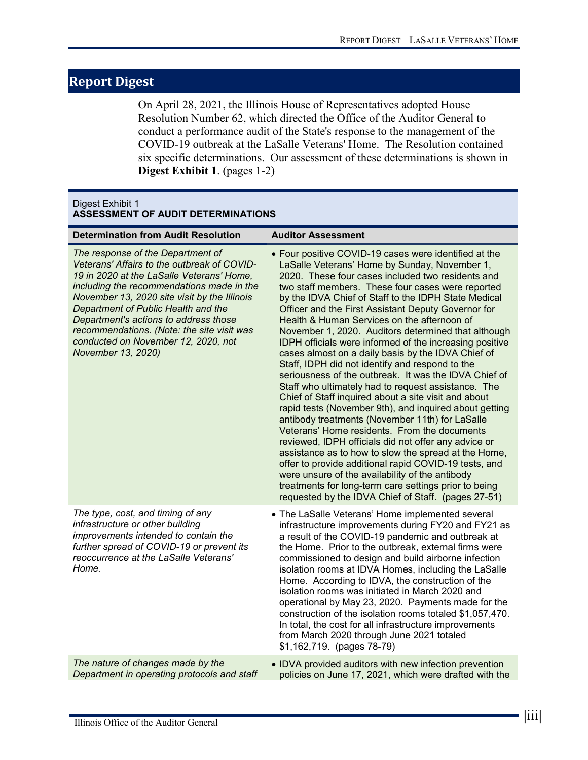## **Report Digest**

On April 28, 2021, the Illinois House of Representatives adopted House Resolution Number 62, which directed the Office of the Auditor General to conduct a performance audit of the State's response to the management of the COVID-19 outbreak at the LaSalle Veterans' Home. The Resolution contained six specific determinations. Our assessment of these determinations is shown in **Digest Exhibit 1**. (pages 1-2)

#### Digest Exhibit 1 **ASSESSMENT OF AUDIT DETERMINATIONS**

| <b>Determination from Audit Resolution</b>                                                                                                                                                                                                                                                                                                                                                                            | <b>Auditor Assessment</b>                                                                                                                                                                                                                                                                                                                                                                                                                                                                                                                                                                                                                                                                                                                                                                                                                                                                                                                                                                                                                                                                                                                                                                                                                                                                  |
|-----------------------------------------------------------------------------------------------------------------------------------------------------------------------------------------------------------------------------------------------------------------------------------------------------------------------------------------------------------------------------------------------------------------------|--------------------------------------------------------------------------------------------------------------------------------------------------------------------------------------------------------------------------------------------------------------------------------------------------------------------------------------------------------------------------------------------------------------------------------------------------------------------------------------------------------------------------------------------------------------------------------------------------------------------------------------------------------------------------------------------------------------------------------------------------------------------------------------------------------------------------------------------------------------------------------------------------------------------------------------------------------------------------------------------------------------------------------------------------------------------------------------------------------------------------------------------------------------------------------------------------------------------------------------------------------------------------------------------|
| The response of the Department of<br>Veterans' Affairs to the outbreak of COVID-<br>19 in 2020 at the LaSalle Veterans' Home,<br>including the recommendations made in the<br>November 13, 2020 site visit by the Illinois<br>Department of Public Health and the<br>Department's actions to address those<br>recommendations. (Note: the site visit was<br>conducted on November 12, 2020, not<br>November 13, 2020) | • Four positive COVID-19 cases were identified at the<br>LaSalle Veterans' Home by Sunday, November 1,<br>2020. These four cases included two residents and<br>two staff members. These four cases were reported<br>by the IDVA Chief of Staff to the IDPH State Medical<br>Officer and the First Assistant Deputy Governor for<br>Health & Human Services on the afternoon of<br>November 1, 2020. Auditors determined that although<br>IDPH officials were informed of the increasing positive<br>cases almost on a daily basis by the IDVA Chief of<br>Staff, IDPH did not identify and respond to the<br>seriousness of the outbreak. It was the IDVA Chief of<br>Staff who ultimately had to request assistance. The<br>Chief of Staff inquired about a site visit and about<br>rapid tests (November 9th), and inquired about getting<br>antibody treatments (November 11th) for LaSalle<br>Veterans' Home residents. From the documents<br>reviewed, IDPH officials did not offer any advice or<br>assistance as to how to slow the spread at the Home,<br>offer to provide additional rapid COVID-19 tests, and<br>were unsure of the availability of the antibody<br>treatments for long-term care settings prior to being<br>requested by the IDVA Chief of Staff. (pages 27-51) |
| The type, cost, and timing of any<br>infrastructure or other building<br>improvements intended to contain the<br>further spread of COVID-19 or prevent its<br>reoccurrence at the LaSalle Veterans'<br>Home.                                                                                                                                                                                                          | • The LaSalle Veterans' Home implemented several<br>infrastructure improvements during FY20 and FY21 as<br>a result of the COVID-19 pandemic and outbreak at<br>the Home. Prior to the outbreak, external firms were<br>commissioned to design and build airborne infection<br>isolation rooms at IDVA Homes, including the LaSalle<br>Home. According to IDVA, the construction of the<br>isolation rooms was initiated in March 2020 and<br>operational by May 23, 2020. Payments made for the<br>construction of the isolation rooms totaled \$1,057,470.<br>In total, the cost for all infrastructure improvements<br>from March 2020 through June 2021 totaled<br>\$1,162,719. (pages 78-79)                                                                                                                                                                                                                                                                                                                                                                                                                                                                                                                                                                                          |
| The nature of changes made by the<br>Department in operating protocols and staff                                                                                                                                                                                                                                                                                                                                      | • IDVA provided auditors with new infection prevention<br>policies on June 17, 2021, which were drafted with the                                                                                                                                                                                                                                                                                                                                                                                                                                                                                                                                                                                                                                                                                                                                                                                                                                                                                                                                                                                                                                                                                                                                                                           |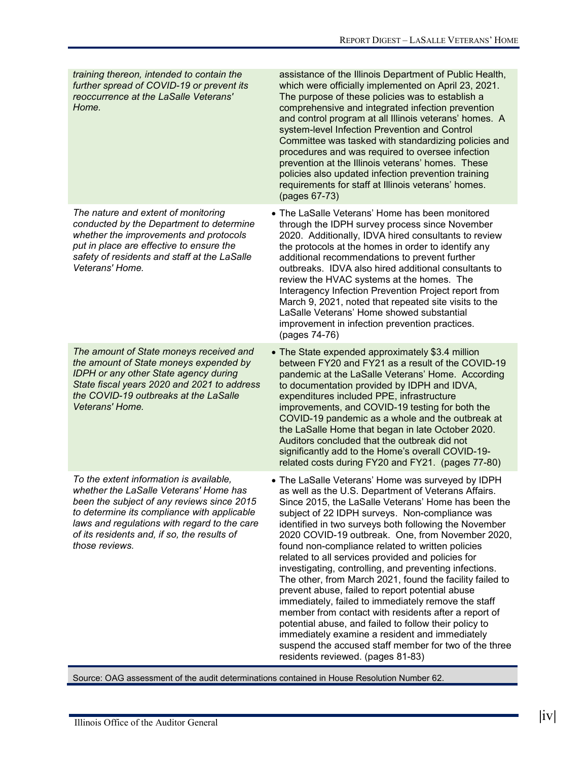| training thereon, intended to contain the<br>further spread of COVID-19 or prevent its<br>reoccurrence at the LaSalle Veterans'<br>Home.                                                                                                                                                        | assistance of the Illinois Department of Public Health,<br>which were officially implemented on April 23, 2021.<br>The purpose of these policies was to establish a<br>comprehensive and integrated infection prevention<br>and control program at all Illinois veterans' homes. A<br>system-level Infection Prevention and Control<br>Committee was tasked with standardizing policies and<br>procedures and was required to oversee infection<br>prevention at the Illinois veterans' homes. These<br>policies also updated infection prevention training<br>requirements for staff at Illinois veterans' homes.<br>(pages 67-73)                                                                                                                                                                                                                                                                                                      |
|-------------------------------------------------------------------------------------------------------------------------------------------------------------------------------------------------------------------------------------------------------------------------------------------------|------------------------------------------------------------------------------------------------------------------------------------------------------------------------------------------------------------------------------------------------------------------------------------------------------------------------------------------------------------------------------------------------------------------------------------------------------------------------------------------------------------------------------------------------------------------------------------------------------------------------------------------------------------------------------------------------------------------------------------------------------------------------------------------------------------------------------------------------------------------------------------------------------------------------------------------|
| The nature and extent of monitoring<br>conducted by the Department to determine<br>whether the improvements and protocols<br>put in place are effective to ensure the<br>safety of residents and staff at the LaSalle<br>Veterans' Home.                                                        | • The LaSalle Veterans' Home has been monitored<br>through the IDPH survey process since November<br>2020. Additionally, IDVA hired consultants to review<br>the protocols at the homes in order to identify any<br>additional recommendations to prevent further<br>outbreaks. IDVA also hired additional consultants to<br>review the HVAC systems at the homes. The<br>Interagency Infection Prevention Project report from<br>March 9, 2021, noted that repeated site visits to the<br>LaSalle Veterans' Home showed substantial<br>improvement in infection prevention practices.<br>(pages 74-76)                                                                                                                                                                                                                                                                                                                                  |
| The amount of State moneys received and<br>the amount of State moneys expended by<br><b>IDPH or any other State agency during</b><br>State fiscal years 2020 and 2021 to address<br>the COVID-19 outbreaks at the LaSalle<br>Veterans' Home.                                                    | • The State expended approximately \$3.4 million<br>between FY20 and FY21 as a result of the COVID-19<br>pandemic at the LaSalle Veterans' Home. According<br>to documentation provided by IDPH and IDVA,<br>expenditures included PPE, infrastructure<br>improvements, and COVID-19 testing for both the<br>COVID-19 pandemic as a whole and the outbreak at<br>the LaSalle Home that began in late October 2020.<br>Auditors concluded that the outbreak did not<br>significantly add to the Home's overall COVID-19-<br>related costs during FY20 and FY21. (pages 77-80)                                                                                                                                                                                                                                                                                                                                                             |
| To the extent information is available,<br>whether the LaSalle Veterans' Home has<br>been the subject of any reviews since 2015<br>to determine its compliance with applicable<br>laws and regulations with regard to the care<br>of its residents and, if so, the results of<br>those reviews. | • The LaSalle Veterans' Home was surveyed by IDPH<br>as well as the U.S. Department of Veterans Affairs.<br>Since 2015, the LaSalle Veterans' Home has been the<br>subject of 22 IDPH surveys. Non-compliance was<br>identified in two surveys both following the November<br>2020 COVID-19 outbreak. One, from November 2020,<br>found non-compliance related to written policies<br>related to all services provided and policies for<br>investigating, controlling, and preventing infections.<br>The other, from March 2021, found the facility failed to<br>prevent abuse, failed to report potential abuse<br>immediately, failed to immediately remove the staff<br>member from contact with residents after a report of<br>potential abuse, and failed to follow their policy to<br>immediately examine a resident and immediately<br>suspend the accused staff member for two of the three<br>residents reviewed. (pages 81-83) |

Source: OAG assessment of the audit determinations contained in House Resolution Number 62.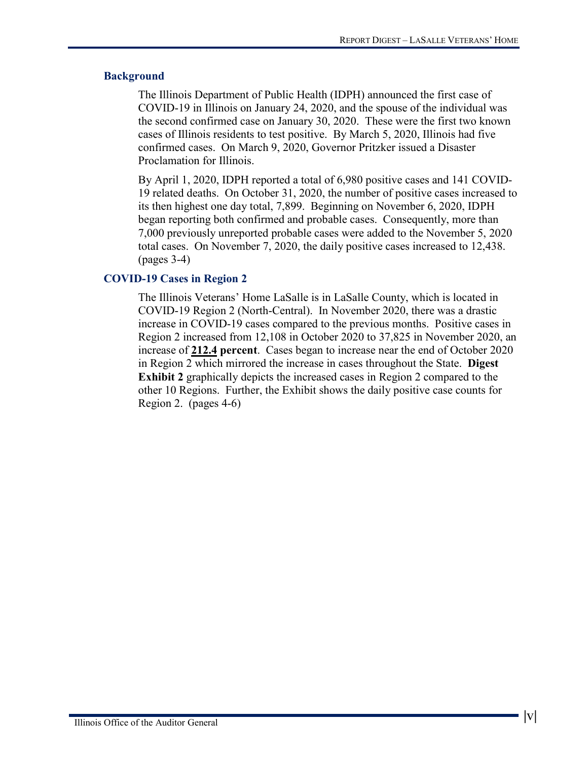#### **Background**

The Illinois Department of Public Health (IDPH) announced the first case of COVID-19 in Illinois on January 24, 2020, and the spouse of the individual was the second confirmed case on January 30, 2020. These were the first two known cases of Illinois residents to test positive. By March 5, 2020, Illinois had five confirmed cases. On March 9, 2020, Governor Pritzker issued a Disaster Proclamation for Illinois.

By April 1, 2020, IDPH reported a total of 6,980 positive cases and 141 COVID-19 related deaths. On October 31, 2020, the number of positive cases increased to its then highest one day total, 7,899. Beginning on November 6, 2020, IDPH began reporting both confirmed and probable cases. Consequently, more than 7,000 previously unreported probable cases were added to the November 5, 2020 total cases. On November 7, 2020, the daily positive cases increased to 12,438. (pages 3-4)

#### **COVID-19 Cases in Region 2**

The Illinois Veterans' Home LaSalle is in LaSalle County, which is located in COVID-19 Region 2 (North-Central). In November 2020, there was a drastic increase in COVID-19 cases compared to the previous months. Positive cases in Region 2 increased from 12,108 in October 2020 to 37,825 in November 2020, an increase of **212.4 percent**. Cases began to increase near the end of October 2020 in Region 2 which mirrored the increase in cases throughout the State. **Digest Exhibit 2** graphically depicts the increased cases in Region 2 compared to the other 10 Regions. Further, the Exhibit shows the daily positive case counts for Region 2. (pages 4-6)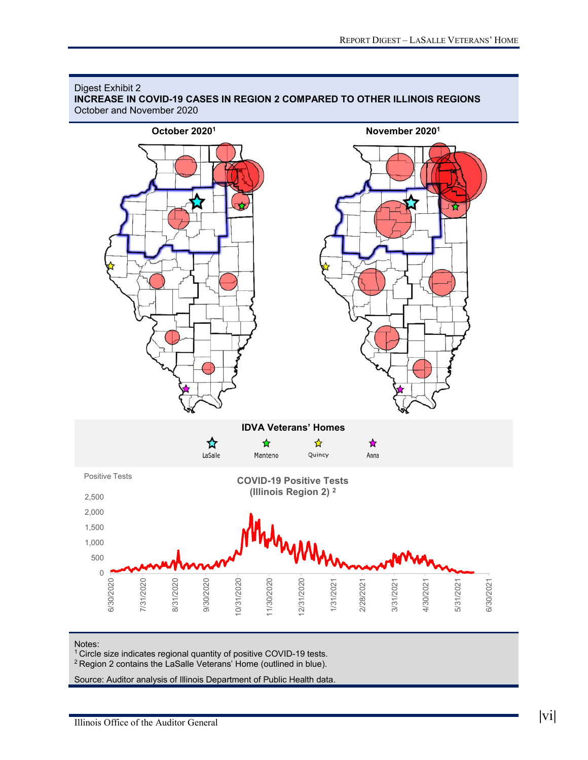

## Digest Exhibit 2

**INCREASE IN COVID-19 CASES IN REGION 2 COMPARED TO OTHER ILLINOIS REGIONS**

Notes:

1 Circle size indicates regional quantity of positive COVID-19 tests.

2 Region 2 contains the LaSalle Veterans' Home (outlined in blue).

Source: Auditor analysis of Illinois Department of Public Health data.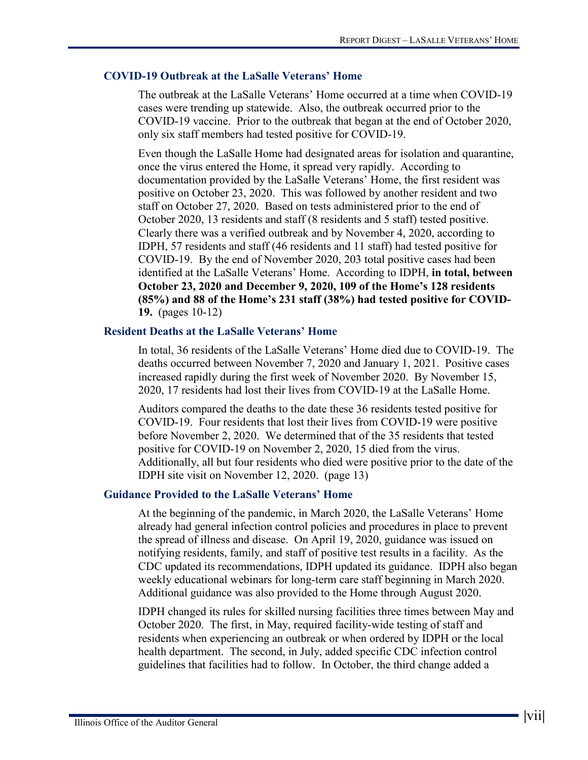#### **COVID-19 Outbreak at the LaSalle Veterans' Home**

The outbreak at the LaSalle Veterans' Home occurred at a time when COVID-19 cases were trending up statewide. Also, the outbreak occurred prior to the COVID-19 vaccine. Prior to the outbreak that began at the end of October 2020, only six staff members had tested positive for COVID-19.

Even though the LaSalle Home had designated areas for isolation and quarantine, once the virus entered the Home, it spread very rapidly. According to documentation provided by the LaSalle Veterans' Home, the first resident was positive on October 23, 2020. This was followed by another resident and two staff on October 27, 2020. Based on tests administered prior to the end of October 2020, 13 residents and staff (8 residents and 5 staff) tested positive. Clearly there was a verified outbreak and by November 4, 2020, according to IDPH, 57 residents and staff (46 residents and 11 staff) had tested positive for COVID-19. By the end of November 2020, 203 total positive cases had been identified at the LaSalle Veterans' Home. According to IDPH, **in total, between October 23, 2020 and December 9, 2020, 109 of the Home's 128 residents (85%) and 88 of the Home's 231 staff (38%) had tested positive for COVID-19.** (pages 10-12)

#### **Resident Deaths at the LaSalle Veterans' Home**

In total, 36 residents of the LaSalle Veterans' Home died due to COVID-19. The deaths occurred between November 7, 2020 and January 1, 2021. Positive cases increased rapidly during the first week of November 2020. By November 15, 2020, 17 residents had lost their lives from COVID-19 at the LaSalle Home.

Auditors compared the deaths to the date these 36 residents tested positive for COVID-19. Four residents that lost their lives from COVID-19 were positive before November 2, 2020. We determined that of the 35 residents that tested positive for COVID-19 on November 2, 2020, 15 died from the virus. Additionally, all but four residents who died were positive prior to the date of the IDPH site visit on November 12, 2020. (page 13)

#### **Guidance Provided to the LaSalle Veterans' Home**

At the beginning of the pandemic, in March 2020, the LaSalle Veterans' Home already had general infection control policies and procedures in place to prevent the spread of illness and disease. On April 19, 2020, guidance was issued on notifying residents, family, and staff of positive test results in a facility. As the CDC updated its recommendations, IDPH updated its guidance. IDPH also began weekly educational webinars for long-term care staff beginning in March 2020. Additional guidance was also provided to the Home through August 2020.

IDPH changed its rules for skilled nursing facilities three times between May and October 2020. The first, in May, required facility-wide testing of staff and residents when experiencing an outbreak or when ordered by IDPH or the local health department. The second, in July, added specific CDC infection control guidelines that facilities had to follow. In October, the third change added a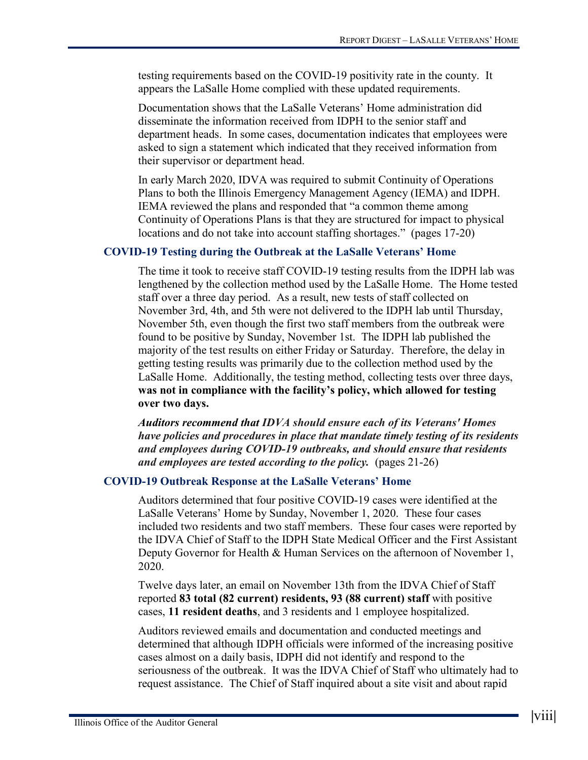testing requirements based on the COVID-19 positivity rate in the county. It appears the LaSalle Home complied with these updated requirements.

Documentation shows that the LaSalle Veterans' Home administration did disseminate the information received from IDPH to the senior staff and department heads. In some cases, documentation indicates that employees were asked to sign a statement which indicated that they received information from their supervisor or department head.

In early March 2020, IDVA was required to submit Continuity of Operations Plans to both the Illinois Emergency Management Agency (IEMA) and IDPH. IEMA reviewed the plans and responded that "a common theme among Continuity of Operations Plans is that they are structured for impact to physical locations and do not take into account staffing shortages." (pages 17-20)

### **COVID-19 Testing during the Outbreak at the LaSalle Veterans' Home**

The time it took to receive staff COVID-19 testing results from the IDPH lab was lengthened by the collection method used by the LaSalle Home. The Home tested staff over a three day period. As a result, new tests of staff collected on November 3rd, 4th, and 5th were not delivered to the IDPH lab until Thursday, November 5th, even though the first two staff members from the outbreak were found to be positive by Sunday, November 1st. The IDPH lab published the majority of the test results on either Friday or Saturday. Therefore, the delay in getting testing results was primarily due to the collection method used by the LaSalle Home. Additionally, the testing method, collecting tests over three days, **was not in compliance with the facility's policy, which allowed for testing over two days.**

*Auditors recommend that IDVA should ensure each of its Veterans' Homes have policies and procedures in place that mandate timely testing of its residents and employees during COVID-19 outbreaks, and should ensure that residents and employees are tested according to the policy.* (pages 21-26)

#### **COVID-19 Outbreak Response at the LaSalle Veterans' Home**

Auditors determined that four positive COVID-19 cases were identified at the LaSalle Veterans' Home by Sunday, November 1, 2020. These four cases included two residents and two staff members. These four cases were reported by the IDVA Chief of Staff to the IDPH State Medical Officer and the First Assistant Deputy Governor for Health & Human Services on the afternoon of November 1, 2020.

Twelve days later, an email on November 13th from the IDVA Chief of Staff reported **83 total (82 current) residents, 93 (88 current) staff** with positive cases, **11 resident deaths**, and 3 residents and 1 employee hospitalized.

Auditors reviewed emails and documentation and conducted meetings and determined that although IDPH officials were informed of the increasing positive cases almost on a daily basis, IDPH did not identify and respond to the seriousness of the outbreak. It was the IDVA Chief of Staff who ultimately had to request assistance. The Chief of Staff inquired about a site visit and about rapid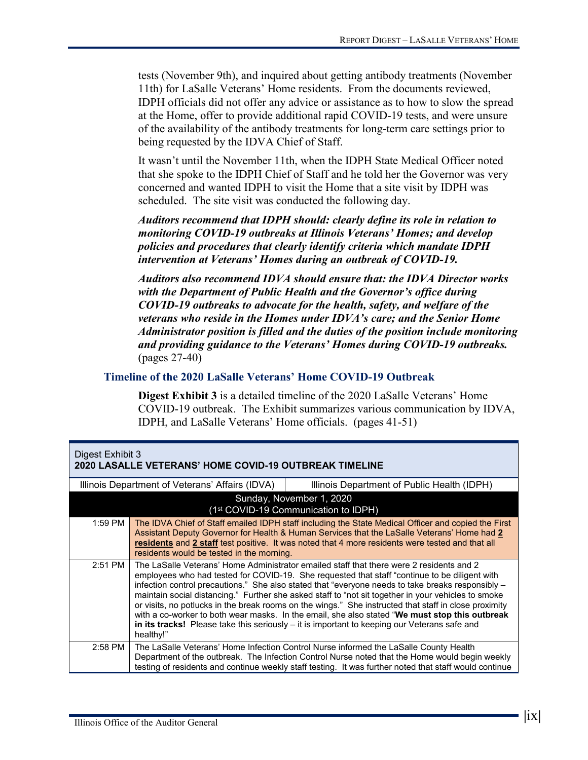tests (November 9th), and inquired about getting antibody treatments (November 11th) for LaSalle Veterans' Home residents. From the documents reviewed, IDPH officials did not offer any advice or assistance as to how to slow the spread at the Home, offer to provide additional rapid COVID-19 tests, and were unsure of the availability of the antibody treatments for long-term care settings prior to being requested by the IDVA Chief of Staff.

It wasn't until the November 11th, when the IDPH State Medical Officer noted that she spoke to the IDPH Chief of Staff and he told her the Governor was very concerned and wanted IDPH to visit the Home that a site visit by IDPH was scheduled. The site visit was conducted the following day.

*Auditors recommend that IDPH should: clearly define its role in relation to monitoring COVID-19 outbreaks at Illinois Veterans' Homes; and develop policies and procedures that clearly identify criteria which mandate IDPH intervention at Veterans' Homes during an outbreak of COVID-19.*

*Auditors also recommend IDVA should ensure that: the IDVA Director works with the Department of Public Health and the Governor's office during COVID-19 outbreaks to advocate for the health, safety, and welfare of the veterans who reside in the Homes under IDVA's care; and the Senior Home Administrator position is filled and the duties of the position include monitoring and providing guidance to the Veterans' Homes during COVID-19 outbreaks.* (pages 27-40)

#### **Timeline of the 2020 LaSalle Veterans' Home COVID-19 Outbreak**

**Digest Exhibit 3** is a detailed timeline of the 2020 LaSalle Veterans' Home COVID-19 outbreak. The Exhibit summarizes various communication by IDVA, IDPH, and LaSalle Veterans' Home officials. (pages 41-51)

| Digest Exhibit 3<br><b>2020 LASALLE VETERANS' HOME COVID-19 OUTBREAK TIMELINE</b> |                                                                                                |                                                                                                                                                                                                                                                                                                                                                                                                                                                                                                                                                                                                                                                                                                                    |
|-----------------------------------------------------------------------------------|------------------------------------------------------------------------------------------------|--------------------------------------------------------------------------------------------------------------------------------------------------------------------------------------------------------------------------------------------------------------------------------------------------------------------------------------------------------------------------------------------------------------------------------------------------------------------------------------------------------------------------------------------------------------------------------------------------------------------------------------------------------------------------------------------------------------------|
|                                                                                   | Illinois Department of Veterans' Affairs (IDVA)<br>Illinois Department of Public Health (IDPH) |                                                                                                                                                                                                                                                                                                                                                                                                                                                                                                                                                                                                                                                                                                                    |
|                                                                                   |                                                                                                | Sunday, November 1, 2020<br>(1 <sup>st</sup> COVID-19 Communication to IDPH)                                                                                                                                                                                                                                                                                                                                                                                                                                                                                                                                                                                                                                       |
| 1:59 PM                                                                           | residents would be tested in the morning.                                                      | The IDVA Chief of Staff emailed IDPH staff including the State Medical Officer and copied the First<br>Assistant Deputy Governor for Health & Human Services that the LaSalle Veterans' Home had 2<br>residents and 2 staff test positive. It was noted that 4 more residents were tested and that all                                                                                                                                                                                                                                                                                                                                                                                                             |
| $2:51$ PM                                                                         | healthy!"                                                                                      | The LaSalle Veterans' Home Administrator emailed staff that there were 2 residents and 2<br>employees who had tested for COVID-19. She requested that staff "continue to be diligent with<br>infection control precautions." She also stated that "everyone needs to take breaks responsibly -<br>maintain social distancing." Further she asked staff to "not sit together in your vehicles to smoke<br>or visits, no potlucks in the break rooms on the wings." She instructed that staff in close proximity<br>with a co-worker to both wear masks. In the email, she also stated "We must stop this outbreak<br>in its tracks! Please take this seriously $-$ it is important to keeping our Veterans safe and |
| $2:58$ PM                                                                         |                                                                                                | The LaSalle Veterans' Home Infection Control Nurse informed the LaSalle County Health<br>Department of the outbreak. The Infection Control Nurse noted that the Home would begin weekly<br>testing of residents and continue weekly staff testing. It was further noted that staff would continue                                                                                                                                                                                                                                                                                                                                                                                                                  |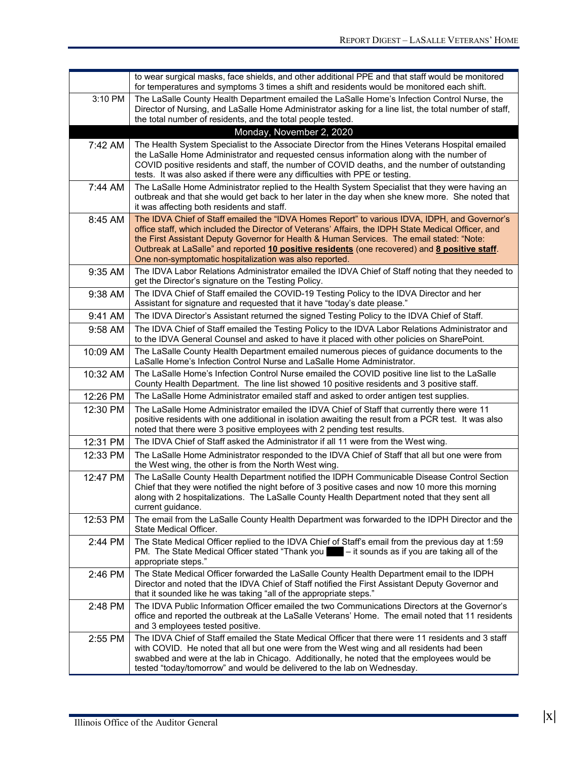|          | to wear surgical masks, face shields, and other additional PPE and that staff would be monitored<br>for temperatures and symptoms 3 times a shift and residents would be monitored each shift.                                                                                                                                                                                                                                                               |
|----------|--------------------------------------------------------------------------------------------------------------------------------------------------------------------------------------------------------------------------------------------------------------------------------------------------------------------------------------------------------------------------------------------------------------------------------------------------------------|
| 3:10 PM  | The LaSalle County Health Department emailed the LaSalle Home's Infection Control Nurse, the<br>Director of Nursing, and LaSalle Home Administrator asking for a line list, the total number of staff,<br>the total number of residents, and the total people tested.                                                                                                                                                                                        |
|          | Monday, November 2, 2020                                                                                                                                                                                                                                                                                                                                                                                                                                     |
| 7:42 AM  | The Health System Specialist to the Associate Director from the Hines Veterans Hospital emailed<br>the LaSalle Home Administrator and requested census information along with the number of<br>COVID positive residents and staff, the number of COVID deaths, and the number of outstanding<br>tests. It was also asked if there were any difficulties with PPE or testing.                                                                                 |
| 7:44 AM  | The LaSalle Home Administrator replied to the Health System Specialist that they were having an<br>outbreak and that she would get back to her later in the day when she knew more. She noted that<br>it was affecting both residents and staff.                                                                                                                                                                                                             |
| 8:45 AM  | The IDVA Chief of Staff emailed the "IDVA Homes Report" to various IDVA, IDPH, and Governor's<br>office staff, which included the Director of Veterans' Affairs, the IDPH State Medical Officer, and<br>the First Assistant Deputy Governor for Health & Human Services. The email stated: "Note:<br>Outbreak at LaSalle" and reported 10 positive residents (one recovered) and 8 positive staff.<br>One non-symptomatic hospitalization was also reported. |
| 9:35 AM  | The IDVA Labor Relations Administrator emailed the IDVA Chief of Staff noting that they needed to<br>get the Director's signature on the Testing Policy.                                                                                                                                                                                                                                                                                                     |
| 9:38 AM  | The IDVA Chief of Staff emailed the COVID-19 Testing Policy to the IDVA Director and her<br>Assistant for signature and requested that it have "today's date please."                                                                                                                                                                                                                                                                                        |
| 9:41 AM  | The IDVA Director's Assistant returned the signed Testing Policy to the IDVA Chief of Staff.                                                                                                                                                                                                                                                                                                                                                                 |
| 9:58 AM  | The IDVA Chief of Staff emailed the Testing Policy to the IDVA Labor Relations Administrator and<br>to the IDVA General Counsel and asked to have it placed with other policies on SharePoint.                                                                                                                                                                                                                                                               |
| 10:09 AM | The LaSalle County Health Department emailed numerous pieces of guidance documents to the<br>LaSalle Home's Infection Control Nurse and LaSalle Home Administrator.                                                                                                                                                                                                                                                                                          |
| 10:32 AM | The LaSalle Home's Infection Control Nurse emailed the COVID positive line list to the LaSalle<br>County Health Department. The line list showed 10 positive residents and 3 positive staff.                                                                                                                                                                                                                                                                 |
| 12:26 PM | The LaSalle Home Administrator emailed staff and asked to order antigen test supplies.                                                                                                                                                                                                                                                                                                                                                                       |
| 12:30 PM | The LaSalle Home Administrator emailed the IDVA Chief of Staff that currently there were 11<br>positive residents with one additional in isolation awaiting the result from a PCR test. It was also<br>noted that there were 3 positive employees with 2 pending test results.                                                                                                                                                                               |
| 12:31 PM | The IDVA Chief of Staff asked the Administrator if all 11 were from the West wing.                                                                                                                                                                                                                                                                                                                                                                           |
| 12:33 PM | The LaSalle Home Administrator responded to the IDVA Chief of Staff that all but one were from<br>the West wing, the other is from the North West wing.                                                                                                                                                                                                                                                                                                      |
| 12:47 PM | The LaSalle County Health Department notified the IDPH Communicable Disease Control Section<br>Chief that they were notified the night before of 3 positive cases and now 10 more this morning<br>along with 2 hospitalizations. The LaSalle County Health Department noted that they sent all<br>current guidance.                                                                                                                                          |
| 12:53 PM | The email from the LaSalle County Health Department was forwarded to the IDPH Director and the<br>State Medical Officer.                                                                                                                                                                                                                                                                                                                                     |
| 2:44 PM  | The State Medical Officer replied to the IDVA Chief of Staff's email from the previous day at 1:59<br>PM. The State Medical Officer stated "Thank you $-$ it sounds as if you are taking all of the<br>appropriate steps."                                                                                                                                                                                                                                   |
| 2:46 PM  | The State Medical Officer forwarded the LaSalle County Health Department email to the IDPH<br>Director and noted that the IDVA Chief of Staff notified the First Assistant Deputy Governor and<br>that it sounded like he was taking "all of the appropriate steps."                                                                                                                                                                                         |
| 2:48 PM  | The IDVA Public Information Officer emailed the two Communications Directors at the Governor's<br>office and reported the outbreak at the LaSalle Veterans' Home. The email noted that 11 residents<br>and 3 employees tested positive.                                                                                                                                                                                                                      |
| 2:55 PM  | The IDVA Chief of Staff emailed the State Medical Officer that there were 11 residents and 3 staff<br>with COVID. He noted that all but one were from the West wing and all residents had been<br>swabbed and were at the lab in Chicago. Additionally, he noted that the employees would be<br>tested "today/tomorrow" and would be delivered to the lab on Wednesday.                                                                                      |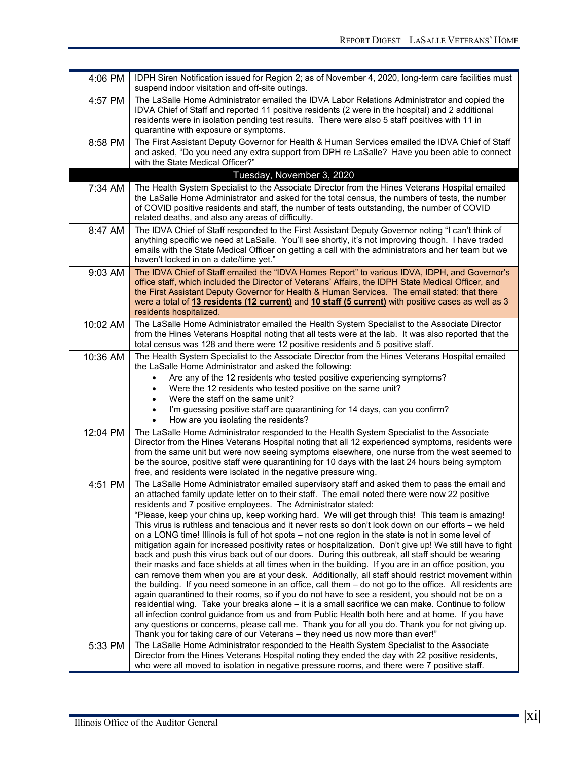| 4:06 PM  | IDPH Siren Notification issued for Region 2; as of November 4, 2020, long-term care facilities must<br>suspend indoor visitation and off-site outings.                                                                                                                                                                                                                                                                                                                                                                                                                                                                                                                                                                                                                                                                                                                                                                                                                                                                                                                                                                                                                                                                                                                                                                                                                                                                                                                                                                                                                                                                            |
|----------|-----------------------------------------------------------------------------------------------------------------------------------------------------------------------------------------------------------------------------------------------------------------------------------------------------------------------------------------------------------------------------------------------------------------------------------------------------------------------------------------------------------------------------------------------------------------------------------------------------------------------------------------------------------------------------------------------------------------------------------------------------------------------------------------------------------------------------------------------------------------------------------------------------------------------------------------------------------------------------------------------------------------------------------------------------------------------------------------------------------------------------------------------------------------------------------------------------------------------------------------------------------------------------------------------------------------------------------------------------------------------------------------------------------------------------------------------------------------------------------------------------------------------------------------------------------------------------------------------------------------------------------|
| 4:57 PM  | The LaSalle Home Administrator emailed the IDVA Labor Relations Administrator and copied the<br>IDVA Chief of Staff and reported 11 positive residents (2 were in the hospital) and 2 additional<br>residents were in isolation pending test results. There were also 5 staff positives with 11 in<br>quarantine with exposure or symptoms.                                                                                                                                                                                                                                                                                                                                                                                                                                                                                                                                                                                                                                                                                                                                                                                                                                                                                                                                                                                                                                                                                                                                                                                                                                                                                       |
| 8:58 PM  | The First Assistant Deputy Governor for Health & Human Services emailed the IDVA Chief of Staff<br>and asked, "Do you need any extra support from DPH re LaSalle? Have you been able to connect<br>with the State Medical Officer?"                                                                                                                                                                                                                                                                                                                                                                                                                                                                                                                                                                                                                                                                                                                                                                                                                                                                                                                                                                                                                                                                                                                                                                                                                                                                                                                                                                                               |
|          | Tuesday, November 3, 2020                                                                                                                                                                                                                                                                                                                                                                                                                                                                                                                                                                                                                                                                                                                                                                                                                                                                                                                                                                                                                                                                                                                                                                                                                                                                                                                                                                                                                                                                                                                                                                                                         |
| 7:34 AM  | The Health System Specialist to the Associate Director from the Hines Veterans Hospital emailed<br>the LaSalle Home Administrator and asked for the total census, the numbers of tests, the number<br>of COVID positive residents and staff, the number of tests outstanding, the number of COVID<br>related deaths, and also any areas of difficulty.                                                                                                                                                                                                                                                                                                                                                                                                                                                                                                                                                                                                                                                                                                                                                                                                                                                                                                                                                                                                                                                                                                                                                                                                                                                                            |
| 8:47 AM  | The IDVA Chief of Staff responded to the First Assistant Deputy Governor noting "I can't think of<br>anything specific we need at LaSalle. You'll see shortly, it's not improving though. I have traded<br>emails with the State Medical Officer on getting a call with the administrators and her team but we<br>haven't locked in on a date/time yet."                                                                                                                                                                                                                                                                                                                                                                                                                                                                                                                                                                                                                                                                                                                                                                                                                                                                                                                                                                                                                                                                                                                                                                                                                                                                          |
| 9:03 AM  | The IDVA Chief of Staff emailed the "IDVA Homes Report" to various IDVA, IDPH, and Governor's<br>office staff, which included the Director of Veterans' Affairs, the IDPH State Medical Officer, and<br>the First Assistant Deputy Governor for Health & Human Services. The email stated: that there<br>were a total of 13 residents (12 current) and 10 staff (5 current) with positive cases as well as 3<br>residents hospitalized.                                                                                                                                                                                                                                                                                                                                                                                                                                                                                                                                                                                                                                                                                                                                                                                                                                                                                                                                                                                                                                                                                                                                                                                           |
| 10:02 AM | The LaSalle Home Administrator emailed the Health System Specialist to the Associate Director<br>from the Hines Veterans Hospital noting that all tests were at the lab. It was also reported that the<br>total census was 128 and there were 12 positive residents and 5 positive staff.                                                                                                                                                                                                                                                                                                                                                                                                                                                                                                                                                                                                                                                                                                                                                                                                                                                                                                                                                                                                                                                                                                                                                                                                                                                                                                                                         |
| 10:36 AM | The Health System Specialist to the Associate Director from the Hines Veterans Hospital emailed<br>the LaSalle Home Administrator and asked the following:<br>Are any of the 12 residents who tested positive experiencing symptoms?<br>$\bullet$<br>Were the 12 residents who tested positive on the same unit?<br>$\bullet$<br>Were the staff on the same unit?<br>I'm guessing positive staff are quarantining for 14 days, can you confirm?<br>How are you isolating the residents?<br>$\bullet$                                                                                                                                                                                                                                                                                                                                                                                                                                                                                                                                                                                                                                                                                                                                                                                                                                                                                                                                                                                                                                                                                                                              |
| 12:04 PM | The LaSalle Home Administrator responded to the Health System Specialist to the Associate<br>Director from the Hines Veterans Hospital noting that all 12 experienced symptoms, residents were<br>from the same unit but were now seeing symptoms elsewhere, one nurse from the west seemed to<br>be the source, positive staff were quarantining for 10 days with the last 24 hours being symptom<br>free, and residents were isolated in the negative pressure wing.                                                                                                                                                                                                                                                                                                                                                                                                                                                                                                                                                                                                                                                                                                                                                                                                                                                                                                                                                                                                                                                                                                                                                            |
| 4:51 PM  | The LaSalle Home Administrator emailed supervisory staff and asked them to pass the email and<br>an attached family update letter on to their staff. The email noted there were now 22 positive<br>residents and 7 positive employees. The Administrator stated:<br>"Please, keep your chins up, keep working hard. We will get through this! This team is amazing!<br>This virus is ruthless and tenacious and it never rests so don't look down on our efforts – we held<br>on a LONG time! Illinois is full of hot spots – not one region in the state is not in some level of<br>mitigation again for increased positivity rates or hospitalization. Don't give up! We still have to fight<br>back and push this virus back out of our doors. During this outbreak, all staff should be wearing<br>their masks and face shields at all times when in the building. If you are in an office position, you<br>can remove them when you are at your desk. Additionally, all staff should restrict movement within<br>the building. If you need someone in an office, call them - do not go to the office. All residents are<br>again quarantined to their rooms, so if you do not have to see a resident, you should not be on a<br>residential wing. Take your breaks alone - it is a small sacrifice we can make. Continue to follow<br>all infection control guidance from us and from Public Health both here and at home. If you have<br>any questions or concerns, please call me. Thank you for all you do. Thank you for not giving up.<br>Thank you for taking care of our Veterans - they need us now more than ever!" |
| 5:33 PM  | The LaSalle Home Administrator responded to the Health System Specialist to the Associate<br>Director from the Hines Veterans Hospital noting they ended the day with 22 positive residents,<br>who were all moved to isolation in negative pressure rooms, and there were 7 positive staff.                                                                                                                                                                                                                                                                                                                                                                                                                                                                                                                                                                                                                                                                                                                                                                                                                                                                                                                                                                                                                                                                                                                                                                                                                                                                                                                                      |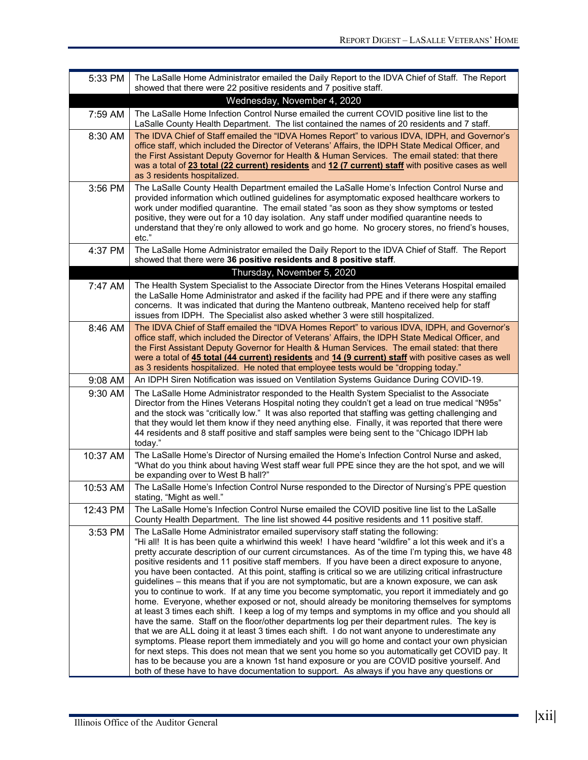| 5:33 PM  | The LaSalle Home Administrator emailed the Daily Report to the IDVA Chief of Staff. The Report<br>showed that there were 22 positive residents and 7 positive staff.                                                                                                                                                                                                                                                                                                                                                                                                                                                                                                                                                                                                                                                                                                                                                                                                                                                                                                                                                                                                                                                                                                                                                                                                                                                                                                                                                               |
|----------|------------------------------------------------------------------------------------------------------------------------------------------------------------------------------------------------------------------------------------------------------------------------------------------------------------------------------------------------------------------------------------------------------------------------------------------------------------------------------------------------------------------------------------------------------------------------------------------------------------------------------------------------------------------------------------------------------------------------------------------------------------------------------------------------------------------------------------------------------------------------------------------------------------------------------------------------------------------------------------------------------------------------------------------------------------------------------------------------------------------------------------------------------------------------------------------------------------------------------------------------------------------------------------------------------------------------------------------------------------------------------------------------------------------------------------------------------------------------------------------------------------------------------------|
|          | Wednesday, November 4, 2020                                                                                                                                                                                                                                                                                                                                                                                                                                                                                                                                                                                                                                                                                                                                                                                                                                                                                                                                                                                                                                                                                                                                                                                                                                                                                                                                                                                                                                                                                                        |
| 7:59 AM  | The LaSalle Home Infection Control Nurse emailed the current COVID positive line list to the<br>LaSalle County Health Department. The list contained the names of 20 residents and 7 staff.                                                                                                                                                                                                                                                                                                                                                                                                                                                                                                                                                                                                                                                                                                                                                                                                                                                                                                                                                                                                                                                                                                                                                                                                                                                                                                                                        |
| 8:30 AM  | The IDVA Chief of Staff emailed the "IDVA Homes Report" to various IDVA, IDPH, and Governor's<br>office staff, which included the Director of Veterans' Affairs, the IDPH State Medical Officer, and<br>the First Assistant Deputy Governor for Health & Human Services. The email stated: that there<br>was a total of 23 total (22 current) residents and 12 (7 current) staff with positive cases as well<br>as 3 residents hospitalized.                                                                                                                                                                                                                                                                                                                                                                                                                                                                                                                                                                                                                                                                                                                                                                                                                                                                                                                                                                                                                                                                                       |
| 3:56 PM  | The LaSalle County Health Department emailed the LaSalle Home's Infection Control Nurse and<br>provided information which outlined guidelines for asymptomatic exposed healthcare workers to<br>work under modified quarantine. The email stated "as soon as they show symptoms or tested<br>positive, they were out for a 10 day isolation. Any staff under modified quarantine needs to<br>understand that they're only allowed to work and go home. No grocery stores, no friend's houses,<br>etc."                                                                                                                                                                                                                                                                                                                                                                                                                                                                                                                                                                                                                                                                                                                                                                                                                                                                                                                                                                                                                             |
| 4:37 PM  | The LaSalle Home Administrator emailed the Daily Report to the IDVA Chief of Staff. The Report<br>showed that there were 36 positive residents and 8 positive staff.                                                                                                                                                                                                                                                                                                                                                                                                                                                                                                                                                                                                                                                                                                                                                                                                                                                                                                                                                                                                                                                                                                                                                                                                                                                                                                                                                               |
|          | Thursday, November 5, 2020                                                                                                                                                                                                                                                                                                                                                                                                                                                                                                                                                                                                                                                                                                                                                                                                                                                                                                                                                                                                                                                                                                                                                                                                                                                                                                                                                                                                                                                                                                         |
| 7:47 AM  | The Health System Specialist to the Associate Director from the Hines Veterans Hospital emailed<br>the LaSalle Home Administrator and asked if the facility had PPE and if there were any staffing<br>concerns. It was indicated that during the Manteno outbreak, Manteno received help for staff<br>issues from IDPH. The Specialist also asked whether 3 were still hospitalized.                                                                                                                                                                                                                                                                                                                                                                                                                                                                                                                                                                                                                                                                                                                                                                                                                                                                                                                                                                                                                                                                                                                                               |
| 8:46 AM  | The IDVA Chief of Staff emailed the "IDVA Homes Report" to various IDVA, IDPH, and Governor's<br>office staff, which included the Director of Veterans' Affairs, the IDPH State Medical Officer, and<br>the First Assistant Deputy Governor for Health & Human Services. The email stated: that there<br>were a total of 45 total (44 current) residents and 14 (9 current) staff with positive cases as well<br>as 3 residents hospitalized. He noted that employee tests would be "dropping today."                                                                                                                                                                                                                                                                                                                                                                                                                                                                                                                                                                                                                                                                                                                                                                                                                                                                                                                                                                                                                              |
| 9:08 AM  | An IDPH Siren Notification was issued on Ventilation Systems Guidance During COVID-19.                                                                                                                                                                                                                                                                                                                                                                                                                                                                                                                                                                                                                                                                                                                                                                                                                                                                                                                                                                                                                                                                                                                                                                                                                                                                                                                                                                                                                                             |
| 9:30 AM  | The LaSalle Home Administrator responded to the Health System Specialist to the Associate<br>Director from the Hines Veterans Hospital noting they couldn't get a lead on true medical "N95s"<br>and the stock was "critically low." It was also reported that staffing was getting challenging and<br>that they would let them know if they need anything else. Finally, it was reported that there were<br>44 residents and 8 staff positive and staff samples were being sent to the "Chicago IDPH lab<br>today."                                                                                                                                                                                                                                                                                                                                                                                                                                                                                                                                                                                                                                                                                                                                                                                                                                                                                                                                                                                                               |
| 10:37 AM | The LaSalle Home's Director of Nursing emailed the Home's Infection Control Nurse and asked,<br>"What do you think about having West staff wear full PPE since they are the hot spot, and we will<br>be expanding over to West B hall?"                                                                                                                                                                                                                                                                                                                                                                                                                                                                                                                                                                                                                                                                                                                                                                                                                                                                                                                                                                                                                                                                                                                                                                                                                                                                                            |
| 10:53 AM | The LaSalle Home's Infection Control Nurse responded to the Director of Nursing's PPE question<br>stating, "Might as well."                                                                                                                                                                                                                                                                                                                                                                                                                                                                                                                                                                                                                                                                                                                                                                                                                                                                                                                                                                                                                                                                                                                                                                                                                                                                                                                                                                                                        |
| 12:43 PM | The LaSalle Home's Infection Control Nurse emailed the COVID positive line list to the LaSalle<br>County Health Department. The line list showed 44 positive residents and 11 positive staff.                                                                                                                                                                                                                                                                                                                                                                                                                                                                                                                                                                                                                                                                                                                                                                                                                                                                                                                                                                                                                                                                                                                                                                                                                                                                                                                                      |
| 3:53 PM  | The LaSalle Home Administrator emailed supervisory staff stating the following:<br>"Hi all! It is has been quite a whirlwind this week! I have heard "wildfire" a lot this week and it's a<br>pretty accurate description of our current circumstances. As of the time I'm typing this, we have 48<br>positive residents and 11 positive staff members. If you have been a direct exposure to anyone,<br>you have been contacted. At this point, staffing is critical so we are utilizing critical infrastructure<br>guidelines – this means that if you are not symptomatic, but are a known exposure, we can ask<br>you to continue to work. If at any time you become symptomatic, you report it immediately and go<br>home. Everyone, whether exposed or not, should already be monitoring themselves for symptoms<br>at least 3 times each shift. I keep a log of my temps and symptoms in my office and you should all<br>have the same. Staff on the floor/other departments log per their department rules. The key is<br>that we are ALL doing it at least 3 times each shift. I do not want anyone to underestimate any<br>symptoms. Please report them immediately and you will go home and contact your own physician<br>for next steps. This does not mean that we sent you home so you automatically get COVID pay. It<br>has to be because you are a known 1st hand exposure or you are COVID positive yourself. And<br>both of these have to have documentation to support. As always if you have any questions or |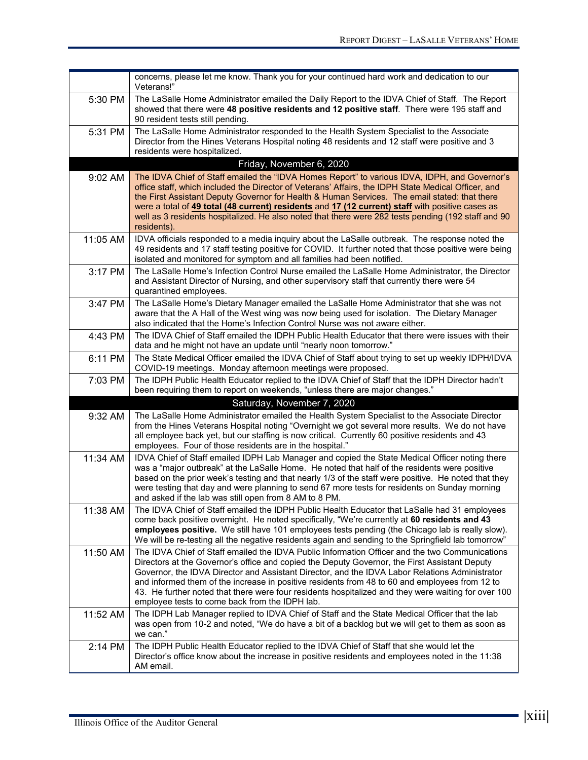|          | concerns, please let me know. Thank you for your continued hard work and dedication to our<br>Veterans!"                                                                                                                                                                                                                                                                                                                                                                                                                                                     |
|----------|--------------------------------------------------------------------------------------------------------------------------------------------------------------------------------------------------------------------------------------------------------------------------------------------------------------------------------------------------------------------------------------------------------------------------------------------------------------------------------------------------------------------------------------------------------------|
| 5:30 PM  | The LaSalle Home Administrator emailed the Daily Report to the IDVA Chief of Staff. The Report<br>showed that there were 48 positive residents and 12 positive staff. There were 195 staff and<br>90 resident tests still pending.                                                                                                                                                                                                                                                                                                                           |
| 5:31 PM  | The LaSalle Home Administrator responded to the Health System Specialist to the Associate<br>Director from the Hines Veterans Hospital noting 48 residents and 12 staff were positive and 3<br>residents were hospitalized.                                                                                                                                                                                                                                                                                                                                  |
|          | Friday, November 6, 2020                                                                                                                                                                                                                                                                                                                                                                                                                                                                                                                                     |
| 9:02 AM  | The IDVA Chief of Staff emailed the "IDVA Homes Report" to various IDVA, IDPH, and Governor's<br>office staff, which included the Director of Veterans' Affairs, the IDPH State Medical Officer, and<br>the First Assistant Deputy Governor for Health & Human Services. The email stated: that there<br>were a total of 49 total (48 current) residents and 17 (12 current) staff with positive cases as<br>well as 3 residents hospitalized. He also noted that there were 282 tests pending (192 staff and 90<br>residents).                              |
| 11:05 AM | IDVA officials responded to a media inquiry about the LaSalle outbreak. The response noted the<br>49 residents and 17 staff testing positive for COVID. It further noted that those positive were being<br>isolated and monitored for symptom and all families had been notified.                                                                                                                                                                                                                                                                            |
| 3:17 PM  | The LaSalle Home's Infection Control Nurse emailed the LaSalle Home Administrator, the Director<br>and Assistant Director of Nursing, and other supervisory staff that currently there were 54<br>quarantined employees.                                                                                                                                                                                                                                                                                                                                     |
| 3:47 PM  | The LaSalle Home's Dietary Manager emailed the LaSalle Home Administrator that she was not<br>aware that the A Hall of the West wing was now being used for isolation. The Dietary Manager<br>also indicated that the Home's Infection Control Nurse was not aware either.                                                                                                                                                                                                                                                                                   |
| 4:43 PM  | The IDVA Chief of Staff emailed the IDPH Public Health Educator that there were issues with their<br>data and he might not have an update until "nearly noon tomorrow."                                                                                                                                                                                                                                                                                                                                                                                      |
| 6:11 PM  | The State Medical Officer emailed the IDVA Chief of Staff about trying to set up weekly IDPH/IDVA<br>COVID-19 meetings. Monday afternoon meetings were proposed.                                                                                                                                                                                                                                                                                                                                                                                             |
| 7:03 PM  | The IDPH Public Health Educator replied to the IDVA Chief of Staff that the IDPH Director hadn't<br>been requiring them to report on weekends, "unless there are major changes."                                                                                                                                                                                                                                                                                                                                                                             |
|          | Saturday, November 7, 2020                                                                                                                                                                                                                                                                                                                                                                                                                                                                                                                                   |
| 9:32 AM  | The LaSalle Home Administrator emailed the Health System Specialist to the Associate Director<br>from the Hines Veterans Hospital noting "Overnight we got several more results. We do not have<br>all employee back yet, but our staffing is now critical. Currently 60 positive residents and 43<br>employees. Four of those residents are in the hospital."                                                                                                                                                                                               |
| 11:34 AM | IDVA Chief of Staff emailed IDPH Lab Manager and copied the State Medical Officer noting there<br>was a "major outbreak" at the LaSalle Home. He noted that half of the residents were positive<br>based on the prior week's testing and that nearly 1/3 of the staff were positive. He noted that they<br>were testing that day and were planning to send 67 more tests for residents on Sunday morning<br>and asked if the lab was still open from 8 AM to 8 PM.                                                                                           |
| 11:38 AM | The IDVA Chief of Staff emailed the IDPH Public Health Educator that LaSalle had 31 employees<br>come back positive overnight. He noted specifically, "We're currently at 60 residents and 43<br>employees positive. We still have 101 employees tests pending (the Chicago lab is really slow).<br>We will be re-testing all the negative residents again and sending to the Springfield lab tomorrow"                                                                                                                                                      |
| 11:50 AM | The IDVA Chief of Staff emailed the IDVA Public Information Officer and the two Communications<br>Directors at the Governor's office and copied the Deputy Governor, the First Assistant Deputy<br>Governor, the IDVA Director and Assistant Director, and the IDVA Labor Relations Administrator<br>and informed them of the increase in positive residents from 48 to 60 and employees from 12 to<br>43. He further noted that there were four residents hospitalized and they were waiting for over 100<br>employee tests to come back from the IDPH lab. |
| 11:52 AM | The IDPH Lab Manager replied to IDVA Chief of Staff and the State Medical Officer that the lab<br>was open from 10-2 and noted, "We do have a bit of a backlog but we will get to them as soon as<br>we can."                                                                                                                                                                                                                                                                                                                                                |
| 2:14 PM  | The IDPH Public Health Educator replied to the IDVA Chief of Staff that she would let the<br>Director's office know about the increase in positive residents and employees noted in the 11:38<br>AM email.                                                                                                                                                                                                                                                                                                                                                   |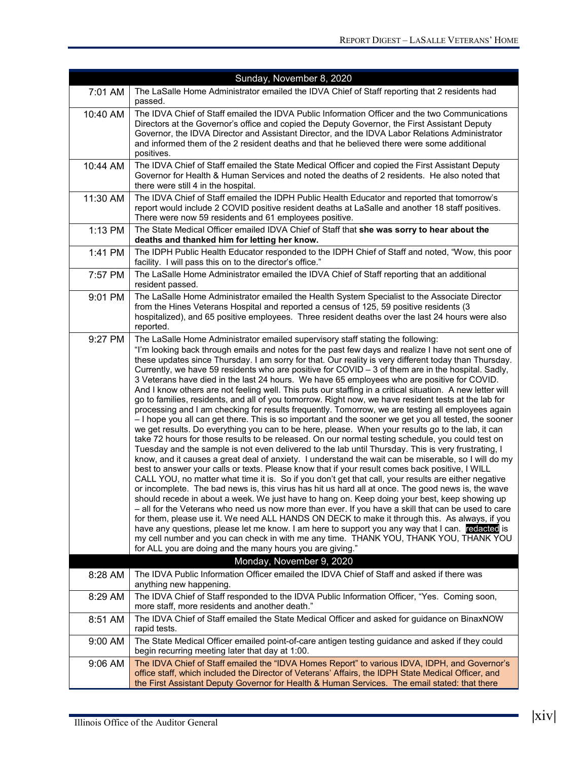|          | Sunday, November 8, 2020                                                                                                                                                                                                                                                                                                                                                                                                                                                                                                                                                                                                                                                                                                                                                                                                                                                                                                                                                                                                                                                                                                                                                                                                                                                                                                                                                                                                                                                                                                                                                                                                                                                                                                                                                                                                                                                                                                                                                                                                                                                                                                                                                                                                                             |
|----------|------------------------------------------------------------------------------------------------------------------------------------------------------------------------------------------------------------------------------------------------------------------------------------------------------------------------------------------------------------------------------------------------------------------------------------------------------------------------------------------------------------------------------------------------------------------------------------------------------------------------------------------------------------------------------------------------------------------------------------------------------------------------------------------------------------------------------------------------------------------------------------------------------------------------------------------------------------------------------------------------------------------------------------------------------------------------------------------------------------------------------------------------------------------------------------------------------------------------------------------------------------------------------------------------------------------------------------------------------------------------------------------------------------------------------------------------------------------------------------------------------------------------------------------------------------------------------------------------------------------------------------------------------------------------------------------------------------------------------------------------------------------------------------------------------------------------------------------------------------------------------------------------------------------------------------------------------------------------------------------------------------------------------------------------------------------------------------------------------------------------------------------------------------------------------------------------------------------------------------------------------|
| 7:01 AM  | The LaSalle Home Administrator emailed the IDVA Chief of Staff reporting that 2 residents had<br>passed.                                                                                                                                                                                                                                                                                                                                                                                                                                                                                                                                                                                                                                                                                                                                                                                                                                                                                                                                                                                                                                                                                                                                                                                                                                                                                                                                                                                                                                                                                                                                                                                                                                                                                                                                                                                                                                                                                                                                                                                                                                                                                                                                             |
| 10:40 AM | The IDVA Chief of Staff emailed the IDVA Public Information Officer and the two Communications<br>Directors at the Governor's office and copied the Deputy Governor, the First Assistant Deputy<br>Governor, the IDVA Director and Assistant Director, and the IDVA Labor Relations Administrator<br>and informed them of the 2 resident deaths and that he believed there were some additional<br>positives.                                                                                                                                                                                                                                                                                                                                                                                                                                                                                                                                                                                                                                                                                                                                                                                                                                                                                                                                                                                                                                                                                                                                                                                                                                                                                                                                                                                                                                                                                                                                                                                                                                                                                                                                                                                                                                        |
| 10:44 AM | The IDVA Chief of Staff emailed the State Medical Officer and copied the First Assistant Deputy<br>Governor for Health & Human Services and noted the deaths of 2 residents. He also noted that<br>there were still 4 in the hospital.                                                                                                                                                                                                                                                                                                                                                                                                                                                                                                                                                                                                                                                                                                                                                                                                                                                                                                                                                                                                                                                                                                                                                                                                                                                                                                                                                                                                                                                                                                                                                                                                                                                                                                                                                                                                                                                                                                                                                                                                               |
| 11:30 AM | The IDVA Chief of Staff emailed the IDPH Public Health Educator and reported that tomorrow's<br>report would include 2 COVID positive resident deaths at LaSalle and another 18 staff positives.<br>There were now 59 residents and 61 employees positive.                                                                                                                                                                                                                                                                                                                                                                                                                                                                                                                                                                                                                                                                                                                                                                                                                                                                                                                                                                                                                                                                                                                                                                                                                                                                                                                                                                                                                                                                                                                                                                                                                                                                                                                                                                                                                                                                                                                                                                                           |
| 1:13 PM  | The State Medical Officer emailed IDVA Chief of Staff that she was sorry to hear about the<br>deaths and thanked him for letting her know.                                                                                                                                                                                                                                                                                                                                                                                                                                                                                                                                                                                                                                                                                                                                                                                                                                                                                                                                                                                                                                                                                                                                                                                                                                                                                                                                                                                                                                                                                                                                                                                                                                                                                                                                                                                                                                                                                                                                                                                                                                                                                                           |
| 1:41 PM  | The IDPH Public Health Educator responded to the IDPH Chief of Staff and noted, "Wow, this poor<br>facility. I will pass this on to the director's office."                                                                                                                                                                                                                                                                                                                                                                                                                                                                                                                                                                                                                                                                                                                                                                                                                                                                                                                                                                                                                                                                                                                                                                                                                                                                                                                                                                                                                                                                                                                                                                                                                                                                                                                                                                                                                                                                                                                                                                                                                                                                                          |
| 7:57 PM  | The LaSalle Home Administrator emailed the IDVA Chief of Staff reporting that an additional<br>resident passed.                                                                                                                                                                                                                                                                                                                                                                                                                                                                                                                                                                                                                                                                                                                                                                                                                                                                                                                                                                                                                                                                                                                                                                                                                                                                                                                                                                                                                                                                                                                                                                                                                                                                                                                                                                                                                                                                                                                                                                                                                                                                                                                                      |
| 9:01 PM  | The LaSalle Home Administrator emailed the Health System Specialist to the Associate Director<br>from the Hines Veterans Hospital and reported a census of 125, 59 positive residents (3<br>hospitalized), and 65 positive employees. Three resident deaths over the last 24 hours were also<br>reported.                                                                                                                                                                                                                                                                                                                                                                                                                                                                                                                                                                                                                                                                                                                                                                                                                                                                                                                                                                                                                                                                                                                                                                                                                                                                                                                                                                                                                                                                                                                                                                                                                                                                                                                                                                                                                                                                                                                                            |
| 9:27 PM  | The LaSalle Home Administrator emailed supervisory staff stating the following:<br>"I'm looking back through emails and notes for the past few days and realize I have not sent one of<br>these updates since Thursday. I am sorry for that. Our reality is very different today than Thursday.<br>Currently, we have 59 residents who are positive for COVID - 3 of them are in the hospital. Sadly,<br>3 Veterans have died in the last 24 hours. We have 65 employees who are positive for COVID.<br>And I know others are not feeling well. This puts our staffing in a critical situation. A new letter will<br>go to families, residents, and all of you tomorrow. Right now, we have resident tests at the lab for<br>processing and I am checking for results frequently. Tomorrow, we are testing all employees again<br>- I hope you all can get there. This is so important and the sooner we get you all tested, the sooner<br>we get results. Do everything you can to be here, please. When your results go to the lab, it can<br>take 72 hours for those results to be released. On our normal testing schedule, you could test on<br>Tuesday and the sample is not even delivered to the lab until Thursday. This is very frustrating, I<br>know, and it causes a great deal of anxiety. I understand the wait can be miserable, so I will do my<br>best to answer your calls or texts. Please know that if your result comes back positive, I WILL<br>CALL YOU, no matter what time it is. So if you don't get that call, your results are either negative<br>or incomplete. The bad news is, this virus has hit us hard all at once. The good news is, the wave<br>should recede in about a week. We just have to hang on. Keep doing your best, keep showing up<br>- all for the Veterans who need us now more than ever. If you have a skill that can be used to care<br>for them, please use it. We need ALL HANDS ON DECK to make it through this. As always, if you<br>have any questions, please let me know. I am here to support you any way that I can. redacted is<br>my cell number and you can check in with me any time. THANK YOU, THANK YOU, THANK YOU<br>for ALL you are doing and the many hours you are giving." |
|          | Monday, November 9, 2020                                                                                                                                                                                                                                                                                                                                                                                                                                                                                                                                                                                                                                                                                                                                                                                                                                                                                                                                                                                                                                                                                                                                                                                                                                                                                                                                                                                                                                                                                                                                                                                                                                                                                                                                                                                                                                                                                                                                                                                                                                                                                                                                                                                                                             |
| 8:28 AM  | The IDVA Public Information Officer emailed the IDVA Chief of Staff and asked if there was<br>anything new happening.                                                                                                                                                                                                                                                                                                                                                                                                                                                                                                                                                                                                                                                                                                                                                                                                                                                                                                                                                                                                                                                                                                                                                                                                                                                                                                                                                                                                                                                                                                                                                                                                                                                                                                                                                                                                                                                                                                                                                                                                                                                                                                                                |
| 8:29 AM  | The IDVA Chief of Staff responded to the IDVA Public Information Officer, "Yes. Coming soon,<br>more staff, more residents and another death."                                                                                                                                                                                                                                                                                                                                                                                                                                                                                                                                                                                                                                                                                                                                                                                                                                                                                                                                                                                                                                                                                                                                                                                                                                                                                                                                                                                                                                                                                                                                                                                                                                                                                                                                                                                                                                                                                                                                                                                                                                                                                                       |
| 8:51 AM  | The IDVA Chief of Staff emailed the State Medical Officer and asked for guidance on BinaxNOW<br>rapid tests.                                                                                                                                                                                                                                                                                                                                                                                                                                                                                                                                                                                                                                                                                                                                                                                                                                                                                                                                                                                                                                                                                                                                                                                                                                                                                                                                                                                                                                                                                                                                                                                                                                                                                                                                                                                                                                                                                                                                                                                                                                                                                                                                         |
| 9:00 AM  | The State Medical Officer emailed point-of-care antigen testing guidance and asked if they could<br>begin recurring meeting later that day at 1:00.                                                                                                                                                                                                                                                                                                                                                                                                                                                                                                                                                                                                                                                                                                                                                                                                                                                                                                                                                                                                                                                                                                                                                                                                                                                                                                                                                                                                                                                                                                                                                                                                                                                                                                                                                                                                                                                                                                                                                                                                                                                                                                  |
| 9:06 AM  | The IDVA Chief of Staff emailed the "IDVA Homes Report" to various IDVA, IDPH, and Governor's<br>office staff, which included the Director of Veterans' Affairs, the IDPH State Medical Officer, and<br>the First Assistant Deputy Governor for Health & Human Services. The email stated: that there                                                                                                                                                                                                                                                                                                                                                                                                                                                                                                                                                                                                                                                                                                                                                                                                                                                                                                                                                                                                                                                                                                                                                                                                                                                                                                                                                                                                                                                                                                                                                                                                                                                                                                                                                                                                                                                                                                                                                |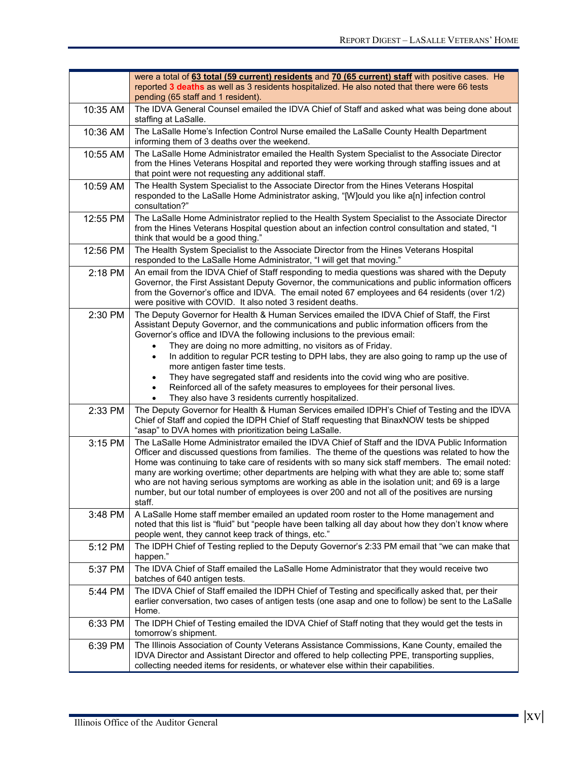|          | were a total of 63 total (59 current) residents and 70 (65 current) staff with positive cases. He<br>reported 3 deaths as well as 3 residents hospitalized. He also noted that there were 66 tests<br>pending (65 staff and 1 resident).                                                                                                                                                                                                                                                                                                                                                                                 |
|----------|--------------------------------------------------------------------------------------------------------------------------------------------------------------------------------------------------------------------------------------------------------------------------------------------------------------------------------------------------------------------------------------------------------------------------------------------------------------------------------------------------------------------------------------------------------------------------------------------------------------------------|
| 10:35 AM | The IDVA General Counsel emailed the IDVA Chief of Staff and asked what was being done about<br>staffing at LaSalle.                                                                                                                                                                                                                                                                                                                                                                                                                                                                                                     |
| 10:36 AM | The LaSalle Home's Infection Control Nurse emailed the LaSalle County Health Department<br>informing them of 3 deaths over the weekend.                                                                                                                                                                                                                                                                                                                                                                                                                                                                                  |
| 10:55 AM | The LaSalle Home Administrator emailed the Health System Specialist to the Associate Director<br>from the Hines Veterans Hospital and reported they were working through staffing issues and at<br>that point were not requesting any additional staff.                                                                                                                                                                                                                                                                                                                                                                  |
| 10:59 AM | The Health System Specialist to the Associate Director from the Hines Veterans Hospital<br>responded to the LaSalle Home Administrator asking, "[W]ould you like a[n] infection control<br>consultation?"                                                                                                                                                                                                                                                                                                                                                                                                                |
| 12:55 PM | The LaSalle Home Administrator replied to the Health System Specialist to the Associate Director<br>from the Hines Veterans Hospital question about an infection control consultation and stated, "I<br>think that would be a good thing."                                                                                                                                                                                                                                                                                                                                                                               |
| 12:56 PM | The Health System Specialist to the Associate Director from the Hines Veterans Hospital<br>responded to the LaSalle Home Administrator, "I will get that moving."                                                                                                                                                                                                                                                                                                                                                                                                                                                        |
| 2:18 PM  | An email from the IDVA Chief of Staff responding to media questions was shared with the Deputy<br>Governor, the First Assistant Deputy Governor, the communications and public information officers<br>from the Governor's office and IDVA. The email noted 67 employees and 64 residents (over 1/2)<br>were positive with COVID. It also noted 3 resident deaths.                                                                                                                                                                                                                                                       |
| 2:30 PM  | The Deputy Governor for Health & Human Services emailed the IDVA Chief of Staff, the First<br>Assistant Deputy Governor, and the communications and public information officers from the<br>Governor's office and IDVA the following inclusions to the previous email:                                                                                                                                                                                                                                                                                                                                                   |
|          | They are doing no more admitting, no visitors as of Friday.<br>In addition to regular PCR testing to DPH labs, they are also going to ramp up the use of<br>$\bullet$<br>more antigen faster time tests.<br>They have segregated staff and residents into the covid wing who are positive.<br>$\bullet$<br>Reinforced all of the safety measures to employees for their personal lives.<br>They also have 3 residents currently hospitalized.                                                                                                                                                                            |
| 2:33 PM  | The Deputy Governor for Health & Human Services emailed IDPH's Chief of Testing and the IDVA<br>Chief of Staff and copied the IDPH Chief of Staff requesting that BinaxNOW tests be shipped<br>"asap" to DVA homes with prioritization being LaSalle.                                                                                                                                                                                                                                                                                                                                                                    |
| 3:15 PM  | The LaSalle Home Administrator emailed the IDVA Chief of Staff and the IDVA Public Information<br>Officer and discussed questions from families. The theme of the questions was related to how the<br>Home was continuing to take care of residents with so many sick staff members. The email noted:<br>many are working overtime; other departments are helping with what they are able to; some staff<br>who are not having serious symptoms are working as able in the isolation unit; and 69 is a large<br>number, but our total number of employees is over 200 and not all of the positives are nursing<br>staff. |
| 3:48 PM  | A LaSalle Home staff member emailed an updated room roster to the Home management and<br>noted that this list is "fluid" but "people have been talking all day about how they don't know where<br>people went, they cannot keep track of things, etc."                                                                                                                                                                                                                                                                                                                                                                   |
| 5:12 PM  | The IDPH Chief of Testing replied to the Deputy Governor's 2:33 PM email that "we can make that<br>happen."                                                                                                                                                                                                                                                                                                                                                                                                                                                                                                              |
| 5:37 PM  | The IDVA Chief of Staff emailed the LaSalle Home Administrator that they would receive two<br>batches of 640 antigen tests.                                                                                                                                                                                                                                                                                                                                                                                                                                                                                              |
| 5:44 PM  | The IDVA Chief of Staff emailed the IDPH Chief of Testing and specifically asked that, per their<br>earlier conversation, two cases of antigen tests (one asap and one to follow) be sent to the LaSalle<br>Home.                                                                                                                                                                                                                                                                                                                                                                                                        |
| 6:33 PM  | The IDPH Chief of Testing emailed the IDVA Chief of Staff noting that they would get the tests in<br>tomorrow's shipment.                                                                                                                                                                                                                                                                                                                                                                                                                                                                                                |
| 6:39 PM  | The Illinois Association of County Veterans Assistance Commissions, Kane County, emailed the<br>IDVA Director and Assistant Director and offered to help collecting PPE, transporting supplies,<br>collecting needed items for residents, or whatever else within their capabilities.                                                                                                                                                                                                                                                                                                                                    |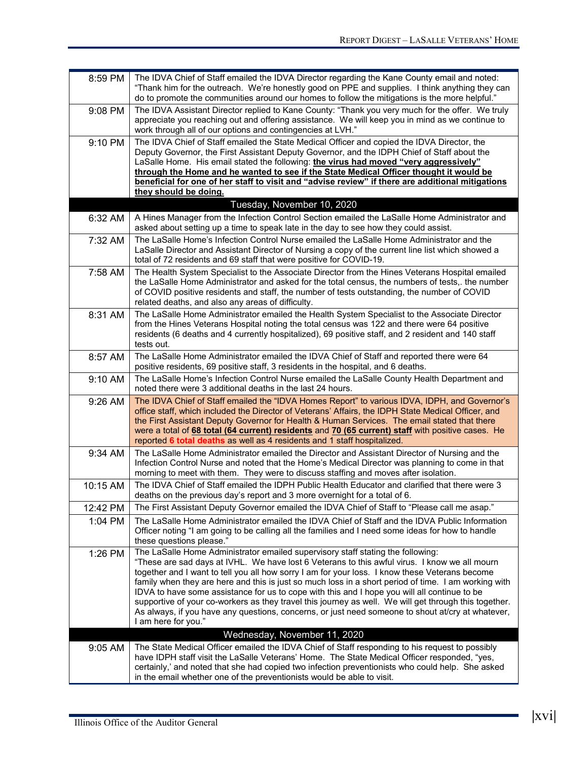| 8:59 PM  | The IDVA Chief of Staff emailed the IDVA Director regarding the Kane County email and noted:<br>"Thank him for the outreach. We're honestly good on PPE and supplies. I think anything they can<br>do to promote the communities around our homes to follow the mitigations is the more helpful."                                                                                                                                                                                                                                                                                                                                                                                                                                                               |
|----------|-----------------------------------------------------------------------------------------------------------------------------------------------------------------------------------------------------------------------------------------------------------------------------------------------------------------------------------------------------------------------------------------------------------------------------------------------------------------------------------------------------------------------------------------------------------------------------------------------------------------------------------------------------------------------------------------------------------------------------------------------------------------|
| 9:08 PM  | The IDVA Assistant Director replied to Kane County: "Thank you very much for the offer. We truly<br>appreciate you reaching out and offering assistance. We will keep you in mind as we continue to<br>work through all of our options and contingencies at LVH."                                                                                                                                                                                                                                                                                                                                                                                                                                                                                               |
| 9:10 PM  | The IDVA Chief of Staff emailed the State Medical Officer and copied the IDVA Director, the<br>Deputy Governor, the First Assistant Deputy Governor, and the IDPH Chief of Staff about the<br>LaSalle Home. His email stated the following: the virus had moved "very aggressively"<br>through the Home and he wanted to see if the State Medical Officer thought it would be<br>beneficial for one of her staff to visit and "advise review" if there are additional mitigations                                                                                                                                                                                                                                                                               |
|          | they should be doing.                                                                                                                                                                                                                                                                                                                                                                                                                                                                                                                                                                                                                                                                                                                                           |
|          | Tuesday, November 10, 2020                                                                                                                                                                                                                                                                                                                                                                                                                                                                                                                                                                                                                                                                                                                                      |
| 6:32 AM  | A Hines Manager from the Infection Control Section emailed the LaSalle Home Administrator and<br>asked about setting up a time to speak late in the day to see how they could assist.                                                                                                                                                                                                                                                                                                                                                                                                                                                                                                                                                                           |
| 7:32 AM  | The LaSalle Home's Infection Control Nurse emailed the LaSalle Home Administrator and the<br>LaSalle Director and Assistant Director of Nursing a copy of the current line list which showed a<br>total of 72 residents and 69 staff that were positive for COVID-19.                                                                                                                                                                                                                                                                                                                                                                                                                                                                                           |
| 7:58 AM  | The Health System Specialist to the Associate Director from the Hines Veterans Hospital emailed<br>the LaSalle Home Administrator and asked for the total census, the numbers of tests,. the number<br>of COVID positive residents and staff, the number of tests outstanding, the number of COVID<br>related deaths, and also any areas of difficulty.                                                                                                                                                                                                                                                                                                                                                                                                         |
| 8:31 AM  | The LaSalle Home Administrator emailed the Health System Specialist to the Associate Director<br>from the Hines Veterans Hospital noting the total census was 122 and there were 64 positive<br>residents (6 deaths and 4 currently hospitalized), 69 positive staff, and 2 resident and 140 staff<br>tests out.                                                                                                                                                                                                                                                                                                                                                                                                                                                |
| 8:57 AM  | The LaSalle Home Administrator emailed the IDVA Chief of Staff and reported there were 64<br>positive residents, 69 positive staff, 3 residents in the hospital, and 6 deaths.                                                                                                                                                                                                                                                                                                                                                                                                                                                                                                                                                                                  |
| 9:10 AM  | The LaSalle Home's Infection Control Nurse emailed the LaSalle County Health Department and<br>noted there were 3 additional deaths in the last 24 hours.                                                                                                                                                                                                                                                                                                                                                                                                                                                                                                                                                                                                       |
| 9:26 AM  | The IDVA Chief of Staff emailed the "IDVA Homes Report" to various IDVA, IDPH, and Governor's<br>office staff, which included the Director of Veterans' Affairs, the IDPH State Medical Officer, and<br>the First Assistant Deputy Governor for Health & Human Services. The email stated that there<br>were a total of 68 total (64 current) residents and 70 (65 current) staff with positive cases. He<br>reported 6 total deaths as well as 4 residents and 1 staff hospitalized.                                                                                                                                                                                                                                                                           |
| 9:34 AM  | The LaSalle Home Administrator emailed the Director and Assistant Director of Nursing and the<br>Infection Control Nurse and noted that the Home's Medical Director was planning to come in that<br>morning to meet with them. They were to discuss staffing and moves after isolation.                                                                                                                                                                                                                                                                                                                                                                                                                                                                         |
| 10:15 AM | The IDVA Chief of Staff emailed the IDPH Public Health Educator and clarified that there were 3<br>deaths on the previous day's report and 3 more overnight for a total of 6.                                                                                                                                                                                                                                                                                                                                                                                                                                                                                                                                                                                   |
| 12:42 PM | The First Assistant Deputy Governor emailed the IDVA Chief of Staff to "Please call me asap."                                                                                                                                                                                                                                                                                                                                                                                                                                                                                                                                                                                                                                                                   |
| 1:04 PM  | The LaSalle Home Administrator emailed the IDVA Chief of Staff and the IDVA Public Information<br>Officer noting "I am going to be calling all the families and I need some ideas for how to handle<br>these questions please."                                                                                                                                                                                                                                                                                                                                                                                                                                                                                                                                 |
| 1:26 PM  | The LaSalle Home Administrator emailed supervisory staff stating the following:<br>"These are sad days at IVHL. We have lost 6 Veterans to this awful virus. I know we all mourn<br>together and I want to tell you all how sorry I am for your loss. I know these Veterans become<br>family when they are here and this is just so much loss in a short period of time. I am working with<br>IDVA to have some assistance for us to cope with this and I hope you will all continue to be<br>supportive of your co-workers as they travel this journey as well. We will get through this together.<br>As always, if you have any questions, concerns, or just need someone to shout at/cry at whatever,<br>I am here for you."<br>Wednesday, November 11, 2020 |
| 9:05 AM  | The State Medical Officer emailed the IDVA Chief of Staff responding to his request to possibly                                                                                                                                                                                                                                                                                                                                                                                                                                                                                                                                                                                                                                                                 |
|          | have IDPH staff visit the LaSalle Veterans' Home. The State Medical Officer responded, "yes,<br>certainly,' and noted that she had copied two infection preventionists who could help. She asked<br>in the email whether one of the preventionists would be able to visit.                                                                                                                                                                                                                                                                                                                                                                                                                                                                                      |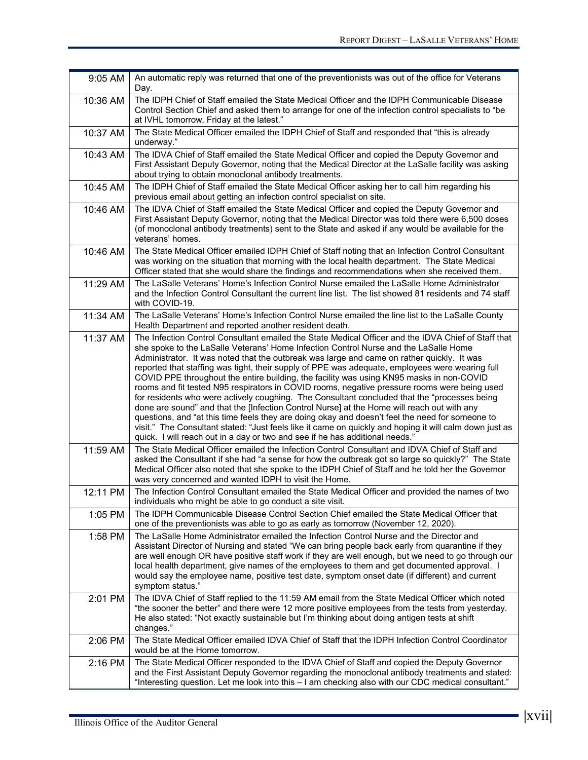| $9:05$ AM | An automatic reply was returned that one of the preventionists was out of the office for Veterans<br>Day.                                                                                                                                                                                                                                                                                                                                                                                                                                                                                                                                                                                                                                                                                                                                                                                                                                                                                                                                                                            |
|-----------|--------------------------------------------------------------------------------------------------------------------------------------------------------------------------------------------------------------------------------------------------------------------------------------------------------------------------------------------------------------------------------------------------------------------------------------------------------------------------------------------------------------------------------------------------------------------------------------------------------------------------------------------------------------------------------------------------------------------------------------------------------------------------------------------------------------------------------------------------------------------------------------------------------------------------------------------------------------------------------------------------------------------------------------------------------------------------------------|
| 10:36 AM  | The IDPH Chief of Staff emailed the State Medical Officer and the IDPH Communicable Disease<br>Control Section Chief and asked them to arrange for one of the infection control specialists to "be<br>at IVHL tomorrow, Friday at the latest."                                                                                                                                                                                                                                                                                                                                                                                                                                                                                                                                                                                                                                                                                                                                                                                                                                       |
| 10:37 AM  | The State Medical Officer emailed the IDPH Chief of Staff and responded that "this is already<br>underway."                                                                                                                                                                                                                                                                                                                                                                                                                                                                                                                                                                                                                                                                                                                                                                                                                                                                                                                                                                          |
| 10:43 AM  | The IDVA Chief of Staff emailed the State Medical Officer and copied the Deputy Governor and<br>First Assistant Deputy Governor, noting that the Medical Director at the LaSalle facility was asking<br>about trying to obtain monoclonal antibody treatments.                                                                                                                                                                                                                                                                                                                                                                                                                                                                                                                                                                                                                                                                                                                                                                                                                       |
| 10:45 AM  | The IDPH Chief of Staff emailed the State Medical Officer asking her to call him regarding his<br>previous email about getting an infection control specialist on site.                                                                                                                                                                                                                                                                                                                                                                                                                                                                                                                                                                                                                                                                                                                                                                                                                                                                                                              |
| 10:46 AM  | The IDVA Chief of Staff emailed the State Medical Officer and copied the Deputy Governor and<br>First Assistant Deputy Governor, noting that the Medical Director was told there were 6,500 doses<br>(of monoclonal antibody treatments) sent to the State and asked if any would be available for the<br>veterans' homes.                                                                                                                                                                                                                                                                                                                                                                                                                                                                                                                                                                                                                                                                                                                                                           |
| 10:46 AM  | The State Medical Officer emailed IDPH Chief of Staff noting that an Infection Control Consultant<br>was working on the situation that morning with the local health department. The State Medical<br>Officer stated that she would share the findings and recommendations when she received them.                                                                                                                                                                                                                                                                                                                                                                                                                                                                                                                                                                                                                                                                                                                                                                                   |
| 11:29 AM  | The LaSalle Veterans' Home's Infection Control Nurse emailed the LaSalle Home Administrator<br>and the Infection Control Consultant the current line list. The list showed 81 residents and 74 staff<br>with COVID-19.                                                                                                                                                                                                                                                                                                                                                                                                                                                                                                                                                                                                                                                                                                                                                                                                                                                               |
| 11:34 AM  | The LaSalle Veterans' Home's Infection Control Nurse emailed the line list to the LaSalle County<br>Health Department and reported another resident death.                                                                                                                                                                                                                                                                                                                                                                                                                                                                                                                                                                                                                                                                                                                                                                                                                                                                                                                           |
| 11:37 AM  | The Infection Control Consultant emailed the State Medical Officer and the IDVA Chief of Staff that<br>she spoke to the LaSalle Veterans' Home Infection Control Nurse and the LaSalle Home<br>Administrator. It was noted that the outbreak was large and came on rather quickly. It was<br>reported that staffing was tight, their supply of PPE was adequate, employees were wearing full<br>COVID PPE throughout the entire building, the facility was using KN95 masks in non-COVID<br>rooms and fit tested N95 respirators in COVID rooms, negative pressure rooms were being used<br>for residents who were actively coughing. The Consultant concluded that the "processes being<br>done are sound" and that the [Infection Control Nurse] at the Home will reach out with any<br>questions, and "at this time feels they are doing okay and doesn't feel the need for someone to<br>visit." The Consultant stated: "Just feels like it came on quickly and hoping it will calm down just as<br>quick. I will reach out in a day or two and see if he has additional needs." |
| 11:59 AM  | The State Medical Officer emailed the Infection Control Consultant and IDVA Chief of Staff and<br>asked the Consultant if she had "a sense for how the outbreak got so large so quickly?" The State<br>Medical Officer also noted that she spoke to the IDPH Chief of Staff and he told her the Governor<br>was very concerned and wanted IDPH to visit the Home.                                                                                                                                                                                                                                                                                                                                                                                                                                                                                                                                                                                                                                                                                                                    |
| 12:11 PM  | The Infection Control Consultant emailed the State Medical Officer and provided the names of two<br>individuals who might be able to go conduct a site visit.                                                                                                                                                                                                                                                                                                                                                                                                                                                                                                                                                                                                                                                                                                                                                                                                                                                                                                                        |
| 1:05 PM   | The IDPH Communicable Disease Control Section Chief emailed the State Medical Officer that<br>one of the preventionists was able to go as early as tomorrow (November 12, 2020).                                                                                                                                                                                                                                                                                                                                                                                                                                                                                                                                                                                                                                                                                                                                                                                                                                                                                                     |
| 1:58 PM   | The LaSalle Home Administrator emailed the Infection Control Nurse and the Director and<br>Assistant Director of Nursing and stated "We can bring people back early from quarantine if they<br>are well enough OR have positive staff work if they are well enough, but we need to go through our<br>local health department, give names of the employees to them and get documented approval. I<br>would say the employee name, positive test date, symptom onset date (if different) and current<br>symptom status."                                                                                                                                                                                                                                                                                                                                                                                                                                                                                                                                                               |
| 2:01 PM   | The IDVA Chief of Staff replied to the 11:59 AM email from the State Medical Officer which noted<br>"the sooner the better" and there were 12 more positive employees from the tests from yesterday.<br>He also stated: "Not exactly sustainable but I'm thinking about doing antigen tests at shift<br>changes."                                                                                                                                                                                                                                                                                                                                                                                                                                                                                                                                                                                                                                                                                                                                                                    |
| 2:06 PM   | The State Medical Officer emailed IDVA Chief of Staff that the IDPH Infection Control Coordinator<br>would be at the Home tomorrow.                                                                                                                                                                                                                                                                                                                                                                                                                                                                                                                                                                                                                                                                                                                                                                                                                                                                                                                                                  |
| 2:16 PM   | The State Medical Officer responded to the IDVA Chief of Staff and copied the Deputy Governor<br>and the First Assistant Deputy Governor regarding the monoclonal antibody treatments and stated:<br>"Interesting question. Let me look into this - I am checking also with our CDC medical consultant."                                                                                                                                                                                                                                                                                                                                                                                                                                                                                                                                                                                                                                                                                                                                                                             |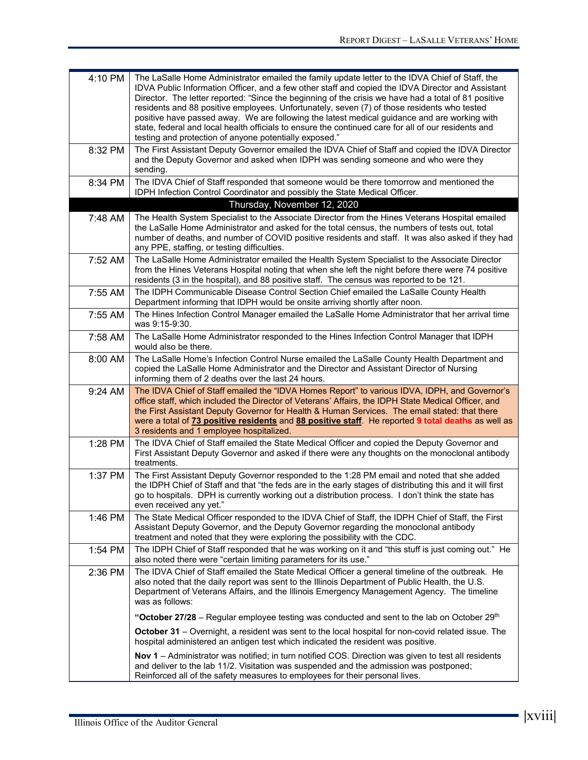| 4:10 PM | The LaSalle Home Administrator emailed the family update letter to the IDVA Chief of Staff, the<br>IDVA Public Information Officer, and a few other staff and copied the IDVA Director and Assistant<br>Director. The letter reported: "Since the beginning of the crisis we have had a total of 81 positive<br>residents and 88 positive employees. Unfortunately, seven (7) of those residents who tested<br>positive have passed away. We are following the latest medical guidance and are working with<br>state, federal and local health officials to ensure the continued care for all of our residents and<br>testing and protection of anyone potentially exposed." |
|---------|------------------------------------------------------------------------------------------------------------------------------------------------------------------------------------------------------------------------------------------------------------------------------------------------------------------------------------------------------------------------------------------------------------------------------------------------------------------------------------------------------------------------------------------------------------------------------------------------------------------------------------------------------------------------------|
| 8:32 PM | The First Assistant Deputy Governor emailed the IDVA Chief of Staff and copied the IDVA Director<br>and the Deputy Governor and asked when IDPH was sending someone and who were they<br>sending.                                                                                                                                                                                                                                                                                                                                                                                                                                                                            |
| 8:34 PM | The IDVA Chief of Staff responded that someone would be there tomorrow and mentioned the<br>IDPH Infection Control Coordinator and possibly the State Medical Officer.                                                                                                                                                                                                                                                                                                                                                                                                                                                                                                       |
|         | Thursday, November 12, 2020                                                                                                                                                                                                                                                                                                                                                                                                                                                                                                                                                                                                                                                  |
| 7:48 AM | The Health System Specialist to the Associate Director from the Hines Veterans Hospital emailed<br>the LaSalle Home Administrator and asked for the total census, the numbers of tests out, total<br>number of deaths, and number of COVID positive residents and staff. It was also asked if they had<br>any PPE, staffing, or testing difficulties.                                                                                                                                                                                                                                                                                                                        |
| 7:52 AM | The LaSalle Home Administrator emailed the Health System Specialist to the Associate Director<br>from the Hines Veterans Hospital noting that when she left the night before there were 74 positive<br>residents (3 in the hospital), and 88 positive staff. The census was reported to be 121.                                                                                                                                                                                                                                                                                                                                                                              |
| 7:55 AM | The IDPH Communicable Disease Control Section Chief emailed the LaSalle County Health<br>Department informing that IDPH would be onsite arriving shortly after noon.                                                                                                                                                                                                                                                                                                                                                                                                                                                                                                         |
| 7:55 AM | The Hines Infection Control Manager emailed the LaSalle Home Administrator that her arrival time<br>was 9:15-9:30.                                                                                                                                                                                                                                                                                                                                                                                                                                                                                                                                                           |
| 7:58 AM | The LaSalle Home Administrator responded to the Hines Infection Control Manager that IDPH<br>would also be there.                                                                                                                                                                                                                                                                                                                                                                                                                                                                                                                                                            |
| 8:00 AM | The LaSalle Home's Infection Control Nurse emailed the LaSalle County Health Department and<br>copied the LaSalle Home Administrator and the Director and Assistant Director of Nursing<br>informing them of 2 deaths over the last 24 hours.                                                                                                                                                                                                                                                                                                                                                                                                                                |
| 9:24 AM | The IDVA Chief of Staff emailed the "IDVA Homes Report" to various IDVA, IDPH, and Governor's<br>office staff, which included the Director of Veterans' Affairs, the IDPH State Medical Officer, and<br>the First Assistant Deputy Governor for Health & Human Services. The email stated: that there<br>were a total of 73 positive residents and 88 positive staff. He reported 9 total deaths as well as<br>3 residents and 1 employee hospitalized.                                                                                                                                                                                                                      |
| 1:28 PM | The IDVA Chief of Staff emailed the State Medical Officer and copied the Deputy Governor and<br>First Assistant Deputy Governor and asked if there were any thoughts on the monoclonal antibody<br>treatments.                                                                                                                                                                                                                                                                                                                                                                                                                                                               |
| 1:37 PM | The First Assistant Deputy Governor responded to the 1:28 PM email and noted that she added<br>the IDPH Chief of Staff and that "the feds are in the early stages of distributing this and it will first<br>go to hospitals. DPH is currently working out a distribution process. I don't think the state has<br>even received any yet."                                                                                                                                                                                                                                                                                                                                     |
| 1:46 PM | The State Medical Officer responded to the IDVA Chief of Staff, the IDPH Chief of Staff, the First<br>Assistant Deputy Governor, and the Deputy Governor regarding the monoclonal antibody<br>treatment and noted that they were exploring the possibility with the CDC.                                                                                                                                                                                                                                                                                                                                                                                                     |
| 1:54 PM | The IDPH Chief of Staff responded that he was working on it and "this stuff is just coming out." He<br>also noted there were "certain limiting parameters for its use."                                                                                                                                                                                                                                                                                                                                                                                                                                                                                                      |
| 2:36 PM | The IDVA Chief of Staff emailed the State Medical Officer a general timeline of the outbreak. He<br>also noted that the daily report was sent to the Illinois Department of Public Health, the U.S.<br>Department of Veterans Affairs, and the Illinois Emergency Management Agency. The timeline<br>was as follows:                                                                                                                                                                                                                                                                                                                                                         |
|         | "October 27/28 - Regular employee testing was conducted and sent to the lab on October 29 <sup>th</sup>                                                                                                                                                                                                                                                                                                                                                                                                                                                                                                                                                                      |
|         | October 31 - Overnight, a resident was sent to the local hospital for non-covid related issue. The<br>hospital administered an antigen test which indicated the resident was positive.                                                                                                                                                                                                                                                                                                                                                                                                                                                                                       |
|         | Nov 1 - Administrator was notified; in turn notified COS. Direction was given to test all residents<br>and deliver to the lab 11/2. Visitation was suspended and the admission was postponed;<br>Reinforced all of the safety measures to employees for their personal lives.                                                                                                                                                                                                                                                                                                                                                                                                |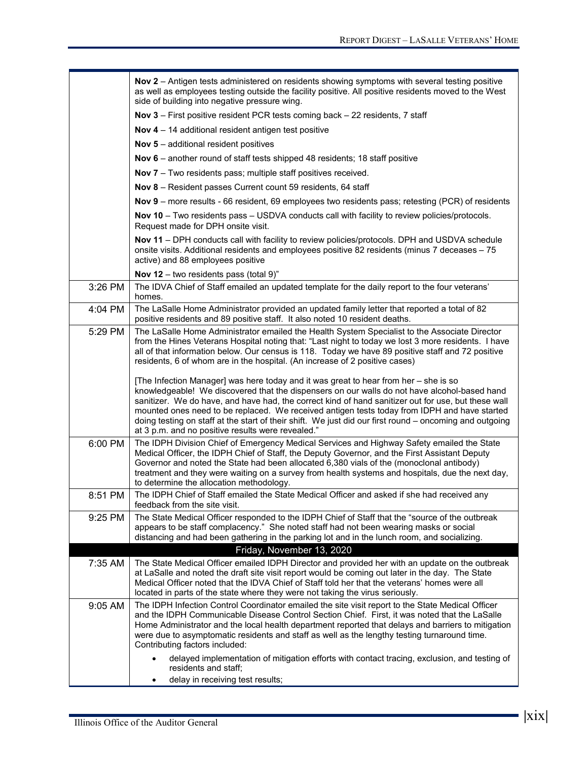|         | Nov 2 - Antigen tests administered on residents showing symptoms with several testing positive<br>as well as employees testing outside the facility positive. All positive residents moved to the West<br>side of building into negative pressure wing.                                                                                                                                                                                                                                                                                                            |  |  |  |  |  |
|---------|--------------------------------------------------------------------------------------------------------------------------------------------------------------------------------------------------------------------------------------------------------------------------------------------------------------------------------------------------------------------------------------------------------------------------------------------------------------------------------------------------------------------------------------------------------------------|--|--|--|--|--|
|         | Nov 3 - First positive resident PCR tests coming back - 22 residents, 7 staff                                                                                                                                                                                                                                                                                                                                                                                                                                                                                      |  |  |  |  |  |
|         | Nov $4 - 14$ additional resident antigen test positive                                                                                                                                                                                                                                                                                                                                                                                                                                                                                                             |  |  |  |  |  |
|         | <b>Nov 5</b> – additional resident positives                                                                                                                                                                                                                                                                                                                                                                                                                                                                                                                       |  |  |  |  |  |
|         | Nov 6 - another round of staff tests shipped 48 residents; 18 staff positive                                                                                                                                                                                                                                                                                                                                                                                                                                                                                       |  |  |  |  |  |
|         | Nov 7 - Two residents pass; multiple staff positives received.                                                                                                                                                                                                                                                                                                                                                                                                                                                                                                     |  |  |  |  |  |
|         | Nov 8 - Resident passes Current count 59 residents, 64 staff                                                                                                                                                                                                                                                                                                                                                                                                                                                                                                       |  |  |  |  |  |
|         | Nov 9 - more results - 66 resident, 69 employees two residents pass; retesting (PCR) of residents                                                                                                                                                                                                                                                                                                                                                                                                                                                                  |  |  |  |  |  |
|         | Nov 10 - Two residents pass - USDVA conducts call with facility to review policies/protocols.<br>Request made for DPH onsite visit.                                                                                                                                                                                                                                                                                                                                                                                                                                |  |  |  |  |  |
|         | Nov 11 - DPH conducts call with facility to review policies/protocols. DPH and USDVA schedule<br>onsite visits. Additional residents and employees positive 82 residents (minus 7 deceases - 75<br>active) and 88 employees positive                                                                                                                                                                                                                                                                                                                               |  |  |  |  |  |
|         | Nov 12 – two residents pass (total $9$ )"                                                                                                                                                                                                                                                                                                                                                                                                                                                                                                                          |  |  |  |  |  |
| 3:26 PM | The IDVA Chief of Staff emailed an updated template for the daily report to the four veterans'<br>homes.                                                                                                                                                                                                                                                                                                                                                                                                                                                           |  |  |  |  |  |
| 4:04 PM | The LaSalle Home Administrator provided an updated family letter that reported a total of 82<br>positive residents and 89 positive staff. It also noted 10 resident deaths.                                                                                                                                                                                                                                                                                                                                                                                        |  |  |  |  |  |
| 5:29 PM | The LaSalle Home Administrator emailed the Health System Specialist to the Associate Director<br>from the Hines Veterans Hospital noting that: "Last night to today we lost 3 more residents. I have<br>all of that information below. Our census is 118. Today we have 89 positive staff and 72 positive<br>residents, 6 of whom are in the hospital. (An increase of 2 positive cases)                                                                                                                                                                           |  |  |  |  |  |
|         | [The Infection Manager] was here today and it was great to hear from her - she is so<br>knowledgeable! We discovered that the dispensers on our walls do not have alcohol-based hand<br>sanitizer. We do have, and have had, the correct kind of hand sanitizer out for use, but these wall<br>mounted ones need to be replaced. We received antigen tests today from IDPH and have started<br>doing testing on staff at the start of their shift. We just did our first round – oncoming and outgoing<br>at 3 p.m. and no positive results were revealed."        |  |  |  |  |  |
| 6:00 PM | The IDPH Division Chief of Emergency Medical Services and Highway Safety emailed the State<br>Medical Officer, the IDPH Chief of Staff, the Deputy Governor, and the First Assistant Deputy<br>Governor and noted the State had been allocated 6,380 vials of the (monoclonal antibody)<br>treatment and they were waiting on a survey from health systems and hospitals, due the next day,<br>to determine the allocation methodology.                                                                                                                            |  |  |  |  |  |
| 8:51 PM | The IDPH Chief of Staff emailed the State Medical Officer and asked if she had received any<br>feedback from the site visit.                                                                                                                                                                                                                                                                                                                                                                                                                                       |  |  |  |  |  |
| 9:25 PM | The State Medical Officer responded to the IDPH Chief of Staff that the "source of the outbreak<br>appears to be staff complacency." She noted staff had not been wearing masks or social<br>distancing and had been gathering in the parking lot and in the lunch room, and socializing.                                                                                                                                                                                                                                                                          |  |  |  |  |  |
|         | Friday, November 13, 2020                                                                                                                                                                                                                                                                                                                                                                                                                                                                                                                                          |  |  |  |  |  |
| 7:35 AM | The State Medical Officer emailed IDPH Director and provided her with an update on the outbreak<br>at LaSalle and noted the draft site visit report would be coming out later in the day. The State                                                                                                                                                                                                                                                                                                                                                                |  |  |  |  |  |
|         | Medical Officer noted that the IDVA Chief of Staff told her that the veterans' homes were all<br>located in parts of the state where they were not taking the virus seriously.                                                                                                                                                                                                                                                                                                                                                                                     |  |  |  |  |  |
| 9:05 AM | The IDPH Infection Control Coordinator emailed the site visit report to the State Medical Officer<br>and the IDPH Communicable Disease Control Section Chief. First, it was noted that the LaSalle<br>Home Administrator and the local health department reported that delays and barriers to mitigation<br>were due to asymptomatic residents and staff as well as the lengthy testing turnaround time.<br>Contributing factors included:<br>delayed implementation of mitigation efforts with contact tracing, exclusion, and testing of<br>residents and staff; |  |  |  |  |  |
|         | delay in receiving test results;                                                                                                                                                                                                                                                                                                                                                                                                                                                                                                                                   |  |  |  |  |  |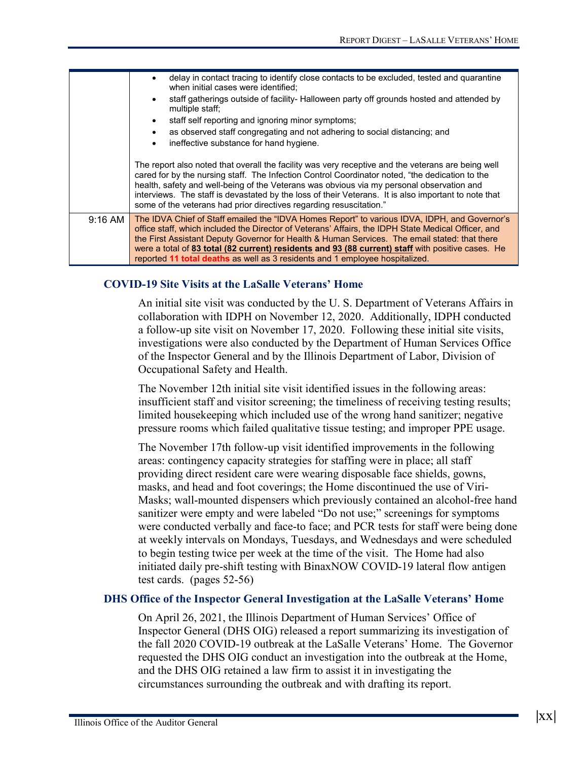|           | delay in contact tracing to identify close contacts to be excluded, tested and quarantine<br>when initial cases were identified:                                                                                                                                                                                                                                                                                                                                                           |  |  |  |  |  |  |
|-----------|--------------------------------------------------------------------------------------------------------------------------------------------------------------------------------------------------------------------------------------------------------------------------------------------------------------------------------------------------------------------------------------------------------------------------------------------------------------------------------------------|--|--|--|--|--|--|
|           | staff gatherings outside of facility- Halloween party off grounds hosted and attended by<br>$\bullet$<br>multiple staff;                                                                                                                                                                                                                                                                                                                                                                   |  |  |  |  |  |  |
|           | staff self reporting and ignoring minor symptoms;<br>$\bullet$                                                                                                                                                                                                                                                                                                                                                                                                                             |  |  |  |  |  |  |
|           | as observed staff congregating and not adhering to social distancing; and<br>$\bullet$                                                                                                                                                                                                                                                                                                                                                                                                     |  |  |  |  |  |  |
|           | ineffective substance for hand hygiene.<br>$\bullet$                                                                                                                                                                                                                                                                                                                                                                                                                                       |  |  |  |  |  |  |
|           |                                                                                                                                                                                                                                                                                                                                                                                                                                                                                            |  |  |  |  |  |  |
|           | The report also noted that overall the facility was very receptive and the veterans are being well<br>cared for by the nursing staff. The Infection Control Coordinator noted, "the dedication to the<br>health, safety and well-being of the Veterans was obvious via my personal observation and<br>interviews. The staff is devastated by the loss of their Veterans. It is also important to note that<br>some of the veterans had prior directives regarding resuscitation."          |  |  |  |  |  |  |
| $9:16$ AM | The IDVA Chief of Staff emailed the "IDVA Homes Report" to various IDVA, IDPH, and Governor's<br>office staff, which included the Director of Veterans' Affairs, the IDPH State Medical Officer, and<br>the First Assistant Deputy Governor for Health & Human Services. The email stated: that there<br>were a total of 83 total (82 current) residents and 93 (88 current) staff with positive cases. He<br>reported 11 total deaths as well as 3 residents and 1 employee hospitalized. |  |  |  |  |  |  |

#### **COVID-19 Site Visits at the LaSalle Veterans' Home**

An initial site visit was conducted by the U. S. Department of Veterans Affairs in collaboration with IDPH on November 12, 2020. Additionally, IDPH conducted a follow-up site visit on November 17, 2020. Following these initial site visits, investigations were also conducted by the Department of Human Services Office of the Inspector General and by the Illinois Department of Labor, Division of Occupational Safety and Health.

The November 12th initial site visit identified issues in the following areas: insufficient staff and visitor screening; the timeliness of receiving testing results; limited housekeeping which included use of the wrong hand sanitizer; negative pressure rooms which failed qualitative tissue testing; and improper PPE usage.

The November 17th follow-up visit identified improvements in the following areas: contingency capacity strategies for staffing were in place; all staff providing direct resident care were wearing disposable face shields, gowns, masks, and head and foot coverings; the Home discontinued the use of Viri-Masks; wall-mounted dispensers which previously contained an alcohol-free hand sanitizer were empty and were labeled "Do not use;" screenings for symptoms were conducted verbally and face-to face; and PCR tests for staff were being done at weekly intervals on Mondays, Tuesdays, and Wednesdays and were scheduled to begin testing twice per week at the time of the visit. The Home had also initiated daily pre-shift testing with BinaxNOW COVID-19 lateral flow antigen test cards. (pages 52-56)

#### **DHS Office of the Inspector General Investigation at the LaSalle Veterans' Home**

On April 26, 2021, the Illinois Department of Human Services' Office of Inspector General (DHS OIG) released a report summarizing its investigation of the fall 2020 COVID-19 outbreak at the LaSalle Veterans' Home. The Governor requested the DHS OIG conduct an investigation into the outbreak at the Home, and the DHS OIG retained a law firm to assist it in investigating the circumstances surrounding the outbreak and with drafting its report.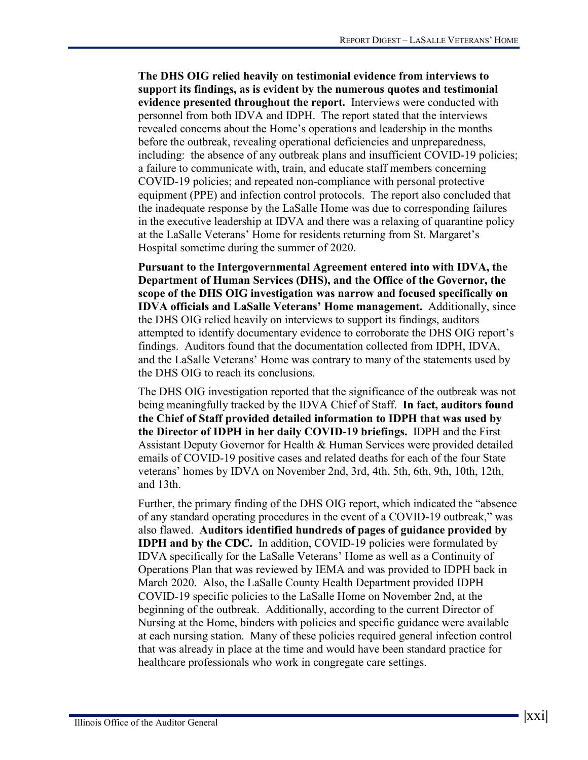**The DHS OIG relied heavily on testimonial evidence from interviews to support its findings, as is evident by the numerous quotes and testimonial evidence presented throughout the report.** Interviews were conducted with personnel from both IDVA and IDPH. The report stated that the interviews revealed concerns about the Home's operations and leadership in the months before the outbreak, revealing operational deficiencies and unpreparedness, including: the absence of any outbreak plans and insufficient COVID-19 policies; a failure to communicate with, train, and educate staff members concerning COVID-19 policies; and repeated non-compliance with personal protective equipment (PPE) and infection control protocols. The report also concluded that the inadequate response by the LaSalle Home was due to corresponding failures in the executive leadership at IDVA and there was a relaxing of quarantine policy at the LaSalle Veterans' Home for residents returning from St. Margaret's Hospital sometime during the summer of 2020.

**Pursuant to the Intergovernmental Agreement entered into with IDVA, the Department of Human Services (DHS), and the Office of the Governor, the scope of the DHS OIG investigation was narrow and focused specifically on IDVA officials and LaSalle Veterans' Home management.** Additionally, since the DHS OIG relied heavily on interviews to support its findings, auditors attempted to identify documentary evidence to corroborate the DHS OIG report's findings. Auditors found that the documentation collected from IDPH, IDVA, and the LaSalle Veterans' Home was contrary to many of the statements used by the DHS OIG to reach its conclusions.

The DHS OIG investigation reported that the significance of the outbreak was not being meaningfully tracked by the IDVA Chief of Staff. **In fact, auditors found the Chief of Staff provided detailed information to IDPH that was used by the Director of IDPH in her daily COVID-19 briefings.** IDPH and the First Assistant Deputy Governor for Health & Human Services were provided detailed emails of COVID-19 positive cases and related deaths for each of the four State veterans' homes by IDVA on November 2nd, 3rd, 4th, 5th, 6th, 9th, 10th, 12th, and 13th.

Further, the primary finding of the DHS OIG report, which indicated the "absence of any standard operating procedures in the event of a COVID-19 outbreak," was also flawed. **Auditors identified hundreds of pages of guidance provided by IDPH and by the CDC.** In addition, COVID-19 policies were formulated by IDVA specifically for the LaSalle Veterans' Home as well as a Continuity of Operations Plan that was reviewed by IEMA and was provided to IDPH back in March 2020. Also, the LaSalle County Health Department provided IDPH COVID-19 specific policies to the LaSalle Home on November 2nd, at the beginning of the outbreak. Additionally, according to the current Director of Nursing at the Home, binders with policies and specific guidance were available at each nursing station. Many of these policies required general infection control that was already in place at the time and would have been standard practice for healthcare professionals who work in congregate care settings.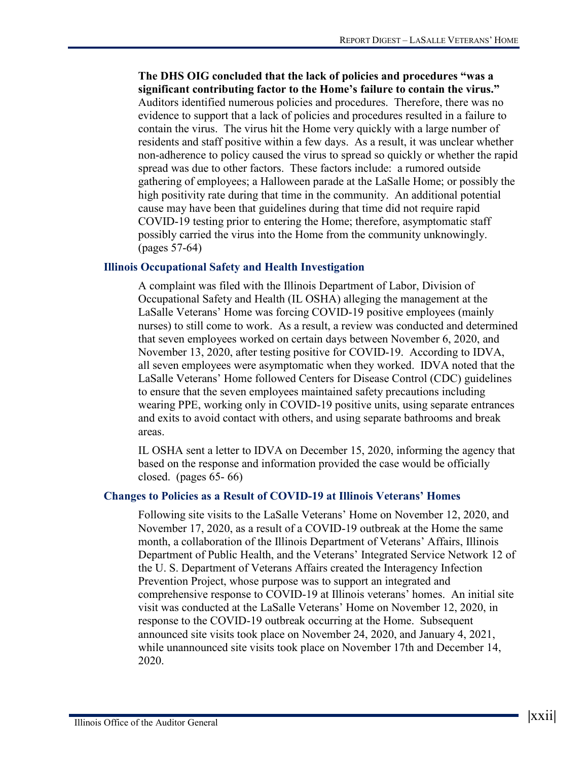**The DHS OIG concluded that the lack of policies and procedures "was a significant contributing factor to the Home's failure to contain the virus."** Auditors identified numerous policies and procedures. Therefore, there was no evidence to support that a lack of policies and procedures resulted in a failure to contain the virus. The virus hit the Home very quickly with a large number of residents and staff positive within a few days. As a result, it was unclear whether non-adherence to policy caused the virus to spread so quickly or whether the rapid spread was due to other factors. These factors include: a rumored outside gathering of employees; a Halloween parade at the LaSalle Home; or possibly the high positivity rate during that time in the community. An additional potential cause may have been that guidelines during that time did not require rapid COVID-19 testing prior to entering the Home; therefore, asymptomatic staff possibly carried the virus into the Home from the community unknowingly. (pages 57-64)

#### **Illinois Occupational Safety and Health Investigation**

A complaint was filed with the Illinois Department of Labor, Division of Occupational Safety and Health (IL OSHA) alleging the management at the LaSalle Veterans' Home was forcing COVID-19 positive employees (mainly nurses) to still come to work. As a result, a review was conducted and determined that seven employees worked on certain days between November 6, 2020, and November 13, 2020, after testing positive for COVID-19. According to IDVA, all seven employees were asymptomatic when they worked. IDVA noted that the LaSalle Veterans' Home followed Centers for Disease Control (CDC) guidelines to ensure that the seven employees maintained safety precautions including wearing PPE, working only in COVID-19 positive units, using separate entrances and exits to avoid contact with others, and using separate bathrooms and break areas.

IL OSHA sent a letter to IDVA on December 15, 2020, informing the agency that based on the response and information provided the case would be officially closed. (pages 65- 66)

#### **Changes to Policies as a Result of COVID-19 at Illinois Veterans' Homes**

Following site visits to the LaSalle Veterans' Home on November 12, 2020, and November 17, 2020, as a result of a COVID-19 outbreak at the Home the same month, a collaboration of the Illinois Department of Veterans' Affairs, Illinois Department of Public Health, and the Veterans' Integrated Service Network 12 of the U. S. Department of Veterans Affairs created the Interagency Infection Prevention Project, whose purpose was to support an integrated and comprehensive response to COVID-19 at Illinois veterans' homes. An initial site visit was conducted at the LaSalle Veterans' Home on November 12, 2020, in response to the COVID-19 outbreak occurring at the Home. Subsequent announced site visits took place on November 24, 2020, and January 4, 2021, while unannounced site visits took place on November 17th and December 14, 2020.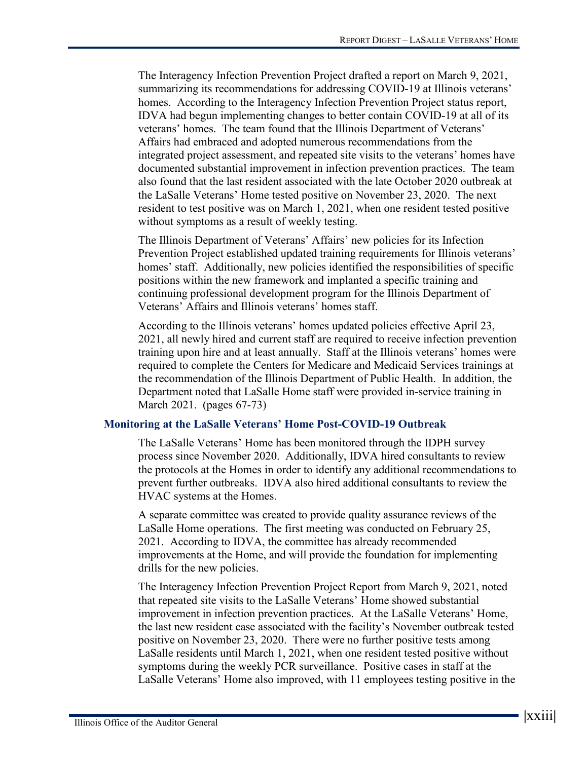The Interagency Infection Prevention Project drafted a report on March 9, 2021, summarizing its recommendations for addressing COVID-19 at Illinois veterans' homes. According to the Interagency Infection Prevention Project status report, IDVA had begun implementing changes to better contain COVID-19 at all of its veterans' homes. The team found that the Illinois Department of Veterans' Affairs had embraced and adopted numerous recommendations from the integrated project assessment, and repeated site visits to the veterans' homes have documented substantial improvement in infection prevention practices. The team also found that the last resident associated with the late October 2020 outbreak at the LaSalle Veterans' Home tested positive on November 23, 2020. The next resident to test positive was on March 1, 2021, when one resident tested positive without symptoms as a result of weekly testing.

The Illinois Department of Veterans' Affairs' new policies for its Infection Prevention Project established updated training requirements for Illinois veterans' homes' staff. Additionally, new policies identified the responsibilities of specific positions within the new framework and implanted a specific training and continuing professional development program for the Illinois Department of Veterans' Affairs and Illinois veterans' homes staff.

According to the Illinois veterans' homes updated policies effective April 23, 2021, all newly hired and current staff are required to receive infection prevention training upon hire and at least annually. Staff at the Illinois veterans' homes were required to complete the Centers for Medicare and Medicaid Services trainings at the recommendation of the Illinois Department of Public Health. In addition, the Department noted that LaSalle Home staff were provided in-service training in March 2021. (pages 67-73)

#### **Monitoring at the LaSalle Veterans' Home Post-COVID-19 Outbreak**

The LaSalle Veterans' Home has been monitored through the IDPH survey process since November 2020. Additionally, IDVA hired consultants to review the protocols at the Homes in order to identify any additional recommendations to prevent further outbreaks. IDVA also hired additional consultants to review the HVAC systems at the Homes.

A separate committee was created to provide quality assurance reviews of the LaSalle Home operations. The first meeting was conducted on February 25, 2021. According to IDVA, the committee has already recommended improvements at the Home, and will provide the foundation for implementing drills for the new policies.

The Interagency Infection Prevention Project Report from March 9, 2021, noted that repeated site visits to the LaSalle Veterans' Home showed substantial improvement in infection prevention practices. At the LaSalle Veterans' Home, the last new resident case associated with the facility's November outbreak tested positive on November 23, 2020. There were no further positive tests among LaSalle residents until March 1, 2021, when one resident tested positive without symptoms during the weekly PCR surveillance. Positive cases in staff at the LaSalle Veterans' Home also improved, with 11 employees testing positive in the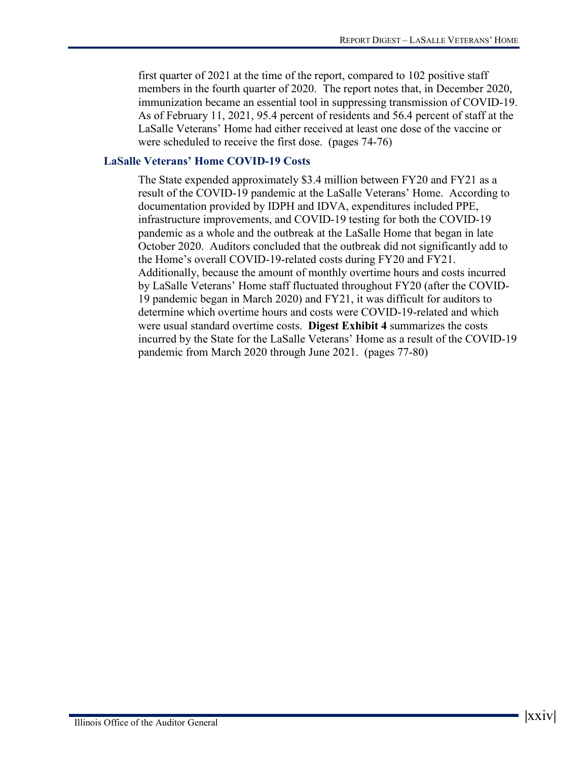first quarter of 2021 at the time of the report, compared to 102 positive staff members in the fourth quarter of 2020. The report notes that, in December 2020, immunization became an essential tool in suppressing transmission of COVID-19. As of February 11, 2021, 95.4 percent of residents and 56.4 percent of staff at the LaSalle Veterans' Home had either received at least one dose of the vaccine or were scheduled to receive the first dose. (pages 74-76)

#### **LaSalle Veterans' Home COVID-19 Costs**

The State expended approximately \$3.4 million between FY20 and FY21 as a result of the COVID-19 pandemic at the LaSalle Veterans' Home. According to documentation provided by IDPH and IDVA, expenditures included PPE, infrastructure improvements, and COVID-19 testing for both the COVID-19 pandemic as a whole and the outbreak at the LaSalle Home that began in late October 2020. Auditors concluded that the outbreak did not significantly add to the Home's overall COVID-19-related costs during FY20 and FY21. Additionally, because the amount of monthly overtime hours and costs incurred by LaSalle Veterans' Home staff fluctuated throughout FY20 (after the COVID-19 pandemic began in March 2020) and FY21, it was difficult for auditors to determine which overtime hours and costs were COVID-19-related and which were usual standard overtime costs. **Digest Exhibit 4** summarizes the costs incurred by the State for the LaSalle Veterans' Home as a result of the COVID-19 pandemic from March 2020 through June 2021. (pages 77-80)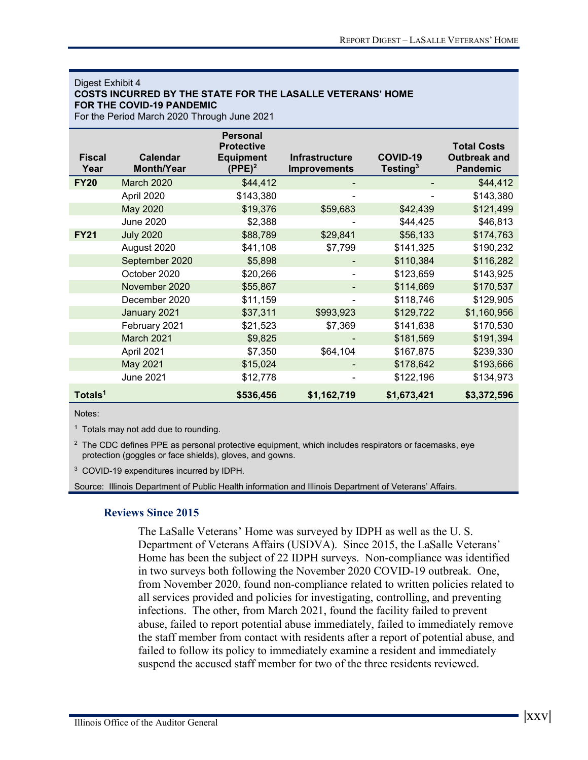#### Digest Exhibit 4 **COSTS INCURRED BY THE STATE FOR THE LASALLE VETERANS' HOME FOR THE COVID-19 PANDEMIC**

For the Period March 2020 Through June 2021

| <b>Fiscal</b><br>Year | <b>Calendar</b><br><b>Month/Year</b> | <b>Personal</b><br><b>Protective</b><br><b>Equipment</b><br>$(PPE)^2$ | <b>Infrastructure</b><br><b>Improvements</b> | COVID-19<br>Testing <sup>3</sup> | <b>Total Costs</b><br><b>Outbreak and</b><br><b>Pandemic</b> |
|-----------------------|--------------------------------------|-----------------------------------------------------------------------|----------------------------------------------|----------------------------------|--------------------------------------------------------------|
| <b>FY20</b>           | <b>March 2020</b>                    | \$44,412                                                              |                                              |                                  | \$44,412                                                     |
|                       | April 2020                           | \$143,380                                                             | $\blacksquare$                               | ٠                                | \$143,380                                                    |
|                       | May 2020                             | \$19,376                                                              | \$59,683                                     | \$42,439                         | \$121,499                                                    |
|                       | <b>June 2020</b>                     | \$2,388                                                               |                                              | \$44,425                         | \$46,813                                                     |
| <b>FY21</b>           | <b>July 2020</b>                     | \$88,789                                                              | \$29,841                                     | \$56,133                         | \$174,763                                                    |
|                       | August 2020                          | \$41,108                                                              | \$7,799                                      | \$141,325                        | \$190,232                                                    |
|                       | September 2020                       | \$5,898                                                               |                                              | \$110,384                        | \$116,282                                                    |
|                       | October 2020                         | \$20,266                                                              |                                              | \$123,659                        | \$143,925                                                    |
|                       | November 2020                        | \$55,867                                                              |                                              | \$114,669                        | \$170,537                                                    |
|                       | December 2020                        | \$11,159                                                              |                                              | \$118,746                        | \$129,905                                                    |
|                       | January 2021                         | \$37,311                                                              | \$993,923                                    | \$129,722                        | \$1,160,956                                                  |
|                       | February 2021                        | \$21,523                                                              | \$7,369                                      | \$141,638                        | \$170,530                                                    |
|                       | March 2021                           | \$9,825                                                               |                                              | \$181,569                        | \$191,394                                                    |
|                       | April 2021                           | \$7,350                                                               | \$64,104                                     | \$167,875                        | \$239,330                                                    |
|                       | May 2021                             | \$15,024                                                              |                                              | \$178,642                        | \$193,666                                                    |
|                       | <b>June 2021</b>                     | \$12,778                                                              |                                              | \$122,196                        | \$134,973                                                    |
| Totals <sup>1</sup>   |                                      | \$536,456                                                             | \$1,162,719                                  | \$1,673,421                      | \$3,372,596                                                  |

Notes:

<sup>1</sup> Totals may not add due to rounding.

 $2$  The CDC defines PPE as personal protective equipment, which includes respirators or facemasks, eye protection (goggles or face shields), gloves, and gowns.

<sup>3</sup> COVID-19 expenditures incurred by IDPH.

Source: Illinois Department of Public Health information and Illinois Department of Veterans' Affairs.

#### **Reviews Since 2015**

The LaSalle Veterans' Home was surveyed by IDPH as well as the U. S. Department of Veterans Affairs (USDVA). Since 2015, the LaSalle Veterans' Home has been the subject of 22 IDPH surveys. Non-compliance was identified in two surveys both following the November 2020 COVID-19 outbreak. One, from November 2020, found non-compliance related to written policies related to all services provided and policies for investigating, controlling, and preventing infections. The other, from March 2021, found the facility failed to prevent abuse, failed to report potential abuse immediately, failed to immediately remove the staff member from contact with residents after a report of potential abuse, and failed to follow its policy to immediately examine a resident and immediately suspend the accused staff member for two of the three residents reviewed.